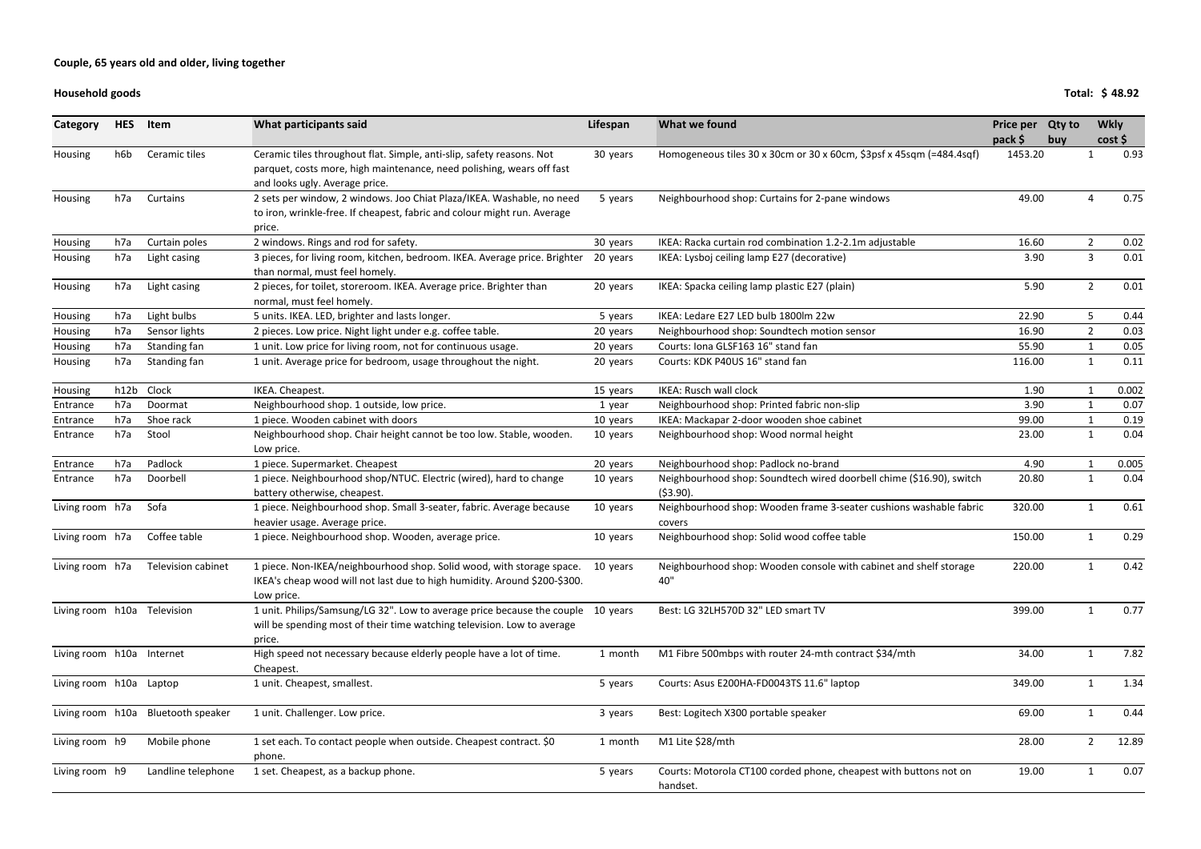#### **Household goods**

| Category                  | <b>HES</b> | Item                        | What participants said                                                                                                                                                           | Lifespan | What we found                                                                       | <b>Price per</b><br>pack \$ | <b>Qty to</b><br>buy |                | <b>Wkly</b><br>cost |
|---------------------------|------------|-----------------------------|----------------------------------------------------------------------------------------------------------------------------------------------------------------------------------|----------|-------------------------------------------------------------------------------------|-----------------------------|----------------------|----------------|---------------------|
| Housing                   | h6b        | Ceramic tiles               | Ceramic tiles throughout flat. Simple, anti-slip, safety reasons. Not<br>parquet, costs more, high maintenance, need polishing, wears off fast<br>and looks ugly. Average price. | 30 years | Homogeneous tiles 30 x 30cm or 30 x 60cm, \$3psf x 45sqm (=484.4sqf)                | 1453.20                     |                      |                | 0.93                |
| Housing                   | h7a        | Curtains                    | 2 sets per window, 2 windows. Joo Chiat Plaza/IKEA. Washable, no need<br>to iron, wrinkle-free. If cheapest, fabric and colour might run. Average<br>price.                      | 5 years  | Neighbourhood shop: Curtains for 2-pane windows                                     | 49.00                       |                      | Δ              | 0.75                |
| Housing                   | h7a        | Curtain poles               | 2 windows. Rings and rod for safety.                                                                                                                                             | 30 years | IKEA: Racka curtain rod combination 1.2-2.1m adjustable                             | 16.60                       |                      | $\overline{2}$ | 0.02                |
| Housing                   | h7a        | Light casing                | 3 pieces, for living room, kitchen, bedroom. IKEA. Average price. Brighter<br>than normal, must feel homely.                                                                     | 20 years | IKEA: Lysboj ceiling lamp E27 (decorative)                                          | 3.90                        |                      | 3              | 0.01                |
| Housing                   | h7a        | Light casing                | 2 pieces, for toilet, storeroom. IKEA. Average price. Brighter than<br>normal, must feel homely.                                                                                 | 20 years | IKEA: Spacka ceiling lamp plastic E27 (plain)                                       | 5.90                        |                      | $\overline{2}$ | 0.01                |
| Housing                   | h7a        | Light bulbs                 | 5 units. IKEA. LED, brighter and lasts longer.                                                                                                                                   | 5 years  | IKEA: Ledare E27 LED bulb 1800lm 22w                                                | 22.90                       |                      | 5              | 0.44                |
| Housing                   | h7a        | Sensor lights               | 2 pieces. Low price. Night light under e.g. coffee table.                                                                                                                        | 20 years | Neighbourhood shop: Soundtech motion sensor                                         | 16.90                       |                      | $\overline{2}$ | 0.03                |
| Housing                   | h7a        | Standing fan                | 1 unit. Low price for living room, not for continuous usage.                                                                                                                     | 20 years | Courts: Iona GLSF163 16" stand fan                                                  | 55.90                       |                      | 1              | 0.05                |
| Housing                   | h7a        | Standing fan                | 1 unit. Average price for bedroom, usage throughout the night.                                                                                                                   | 20 years | Courts: KDK P40US 16" stand fan                                                     | 116.00                      |                      | 1              | 0.11                |
| Housing                   | h12b       | Clock                       | IKEA. Cheapest.                                                                                                                                                                  | 15 years | <b>IKEA: Rusch wall clock</b>                                                       | 1.90                        |                      |                | 0.002               |
| Entrance                  | h7a        | Doormat                     | Neighbourhood shop. 1 outside, low price.                                                                                                                                        | 1 year   | Neighbourhood shop: Printed fabric non-slip                                         | 3.90                        |                      |                | 0.07                |
| Entrance                  | h7a        | Shoe rack                   | 1 piece. Wooden cabinet with doors                                                                                                                                               | 10 years | IKEA: Mackapar 2-door wooden shoe cabinet                                           | 99.00                       |                      |                | 0.19                |
| Entrance                  | h7a        | Stool                       | Neighbourhood shop. Chair height cannot be too low. Stable, wooden.<br>Low price.                                                                                                | 10 years | Neighbourhood shop: Wood normal height                                              | 23.00                       |                      |                | 0.04                |
| Entrance                  | h7a        | Padlock                     | 1 piece. Supermarket. Cheapest                                                                                                                                                   | 20 years | Neighbourhood shop: Padlock no-brand                                                | 4.90                        |                      |                | 0.005               |
| Entrance                  | h7a        | Doorbell                    | 1 piece. Neighbourhood shop/NTUC. Electric (wired), hard to change<br>battery otherwise, cheapest.                                                                               | 10 years | Neighbourhood shop: Soundtech wired doorbell chime (\$16.90), switch<br>$(53.90)$ . | 20.80                       |                      |                | 0.04                |
| Living room h7a           |            | Sofa                        | 1 piece. Neighbourhood shop. Small 3-seater, fabric. Average because<br>heavier usage. Average price.                                                                            | 10 years | Neighbourhood shop: Wooden frame 3-seater cushions washable fabric<br>covers        | 320.00                      |                      |                | 0.61                |
| Living room h7a           |            | Coffee table                | 1 piece. Neighbourhood shop. Wooden, average price.                                                                                                                              | 10 years | Neighbourhood shop: Solid wood coffee table                                         | 150.00                      |                      |                | 0.29                |
| Living room h7a           |            | Television cabinet          | 1 piece. Non-IKEA/neighbourhood shop. Solid wood, with storage space. 10 years<br>IKEA's cheap wood will not last due to high humidity. Around \$200-\$300.<br>Low price.        |          | Neighbourhood shop: Wooden console with cabinet and shelf storage<br>40"            | 220.00                      |                      |                | 0.42                |
|                           |            | Living room h10a Television | 1 unit. Philips/Samsung/LG 32". Low to average price because the couple 10 years<br>will be spending most of their time watching television. Low to average<br>price.            |          | Best: LG 32LH570D 32" LED smart TV                                                  | 399.00                      |                      |                | 0.77                |
| Living room h10a Internet |            |                             | High speed not necessary because elderly people have a lot of time.<br>Cheapest.                                                                                                 | 1 month  | M1 Fibre 500mbps with router 24-mth contract \$34/mth                               | 34.00                       |                      |                | 7.82                |
| Living room h10a Laptop   |            |                             | 1 unit. Cheapest, smallest.                                                                                                                                                      | 5 years  | Courts: Asus E200HA-FD0043TS 11.6" laptop                                           | 349.00                      |                      |                | 1.34                |
| Living room h10a          |            | <b>Bluetooth speaker</b>    | 1 unit. Challenger. Low price.                                                                                                                                                   | 3 years  | Best: Logitech X300 portable speaker                                                | 69.00                       |                      |                | 0.44                |
| Living room h9            |            | Mobile phone                | 1 set each. To contact people when outside. Cheapest contract. \$0<br>phone.                                                                                                     | 1 month  | M1 Lite \$28/mth                                                                    | 28.00                       |                      | $\overline{2}$ | 12.89               |
| Living room h9            |            | Landline telephone          | 1 set. Cheapest, as a backup phone.                                                                                                                                              | 5 years  | Courts: Motorola CT100 corded phone, cheapest with buttons not on<br>handset.       | 19.00                       |                      | 1              | 0.07                |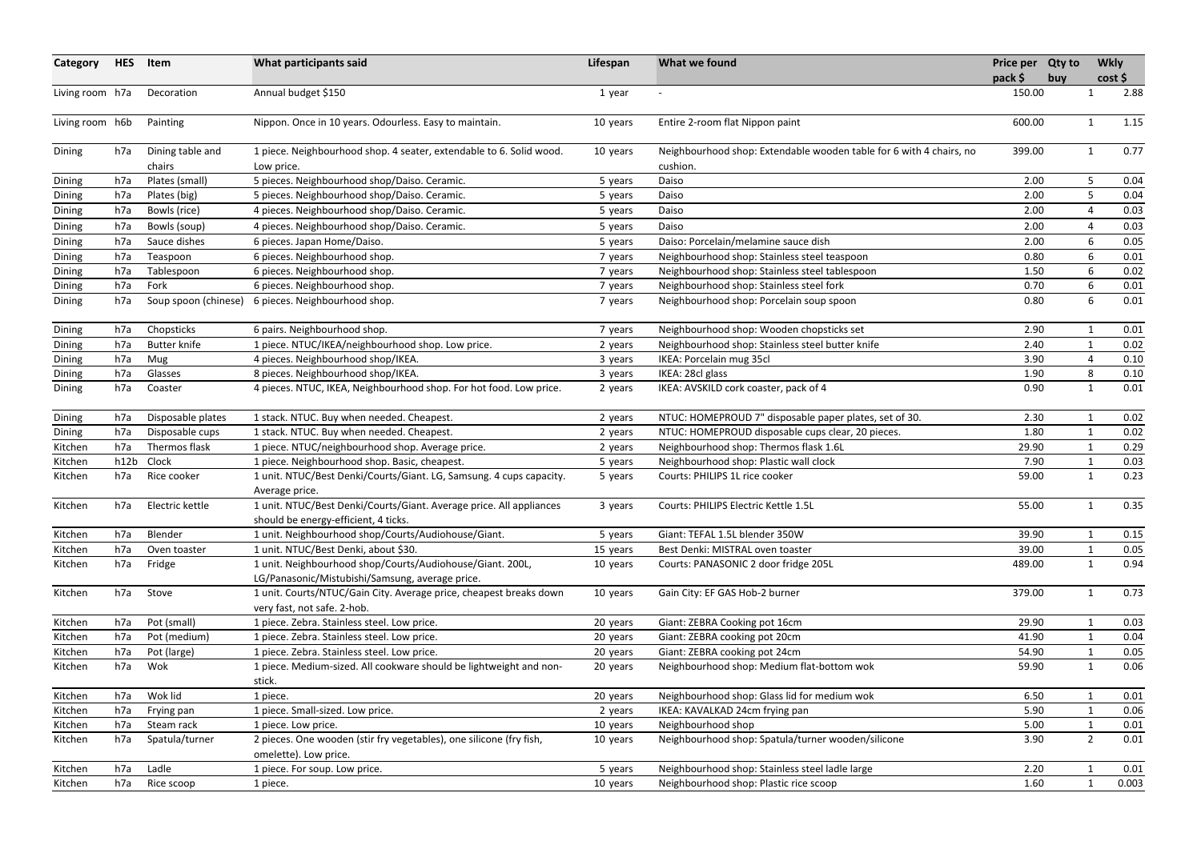| Category        | <b>HES</b> | Item                 | What participants said                                                                                       | Lifespan | What we found                                                       | Price per Qty to | <b>Wkly</b>  |       |
|-----------------|------------|----------------------|--------------------------------------------------------------------------------------------------------------|----------|---------------------------------------------------------------------|------------------|--------------|-------|
|                 |            |                      |                                                                                                              |          |                                                                     | pack \$<br>buy   | cost         |       |
| Living room h7a |            | Decoration           | Annual budget \$150                                                                                          | 1 year   |                                                                     | 150.00           |              | 2.88  |
| Living room h6b |            | Painting             | Nippon. Once in 10 years. Odourless. Easy to maintain.                                                       | 10 years | Entire 2-room flat Nippon paint                                     | 600.00           |              | 1.15  |
| Dining          | h7a        | Dining table and     | 1 piece. Neighbourhood shop. 4 seater, extendable to 6. Solid wood.                                          | 10 years | Neighbourhood shop: Extendable wooden table for 6 with 4 chairs, no | 399.00           | $\mathbf 1$  | 0.77  |
|                 |            | chairs               | Low price.                                                                                                   |          | cushion.                                                            |                  |              |       |
| Dining          | h7a        | Plates (small)       | 5 pieces. Neighbourhood shop/Daiso. Ceramic.                                                                 | 5 years  | Daiso                                                               | 2.00             | 5            | 0.04  |
| Dining          | h7a        | Plates (big)         | 5 pieces. Neighbourhood shop/Daiso. Ceramic.                                                                 | 5 years  | Daiso                                                               | 2.00             | 5            | 0.04  |
| Dining          | h7a        | Bowls (rice)         | 4 pieces. Neighbourhood shop/Daiso. Ceramic.                                                                 | 5 years  | Daiso                                                               | 2.00             | 4            | 0.03  |
| Dining          | h7a        | Bowls (soup)         | 4 pieces. Neighbourhood shop/Daiso. Ceramic.                                                                 | 5 years  | Daiso                                                               | 2.00             | 4            | 0.03  |
| Dining          | h7a        | Sauce dishes         | 6 pieces. Japan Home/Daiso.                                                                                  | 5 years  | Daiso: Porcelain/melamine sauce dish                                | 2.00             | 6            | 0.05  |
| Dining          | h7a        | Teaspoon             | 6 pieces. Neighbourhood shop.                                                                                | 7 years  | Neighbourhood shop: Stainless steel teaspoon                        | 0.80             | 6            | 0.01  |
| Dining          | h7a        | Tablespoon           | 6 pieces. Neighbourhood shop.                                                                                | 7 years  | Neighbourhood shop: Stainless steel tablespoon                      | 1.50             | 6            | 0.02  |
| Dining          | h7a        | Fork                 | 6 pieces. Neighbourhood shop.                                                                                | 7 years  | Neighbourhood shop: Stainless steel fork                            | 0.70             | 6            | 0.01  |
| Dining          | h7a        | Soup spoon (chinese) | 6 pieces. Neighbourhood shop.                                                                                | 7 years  | Neighbourhood shop: Porcelain soup spoon                            | 0.80             | 6            | 0.01  |
| Dining          | h7a        | Chopsticks           | 6 pairs. Neighbourhood shop.                                                                                 | 7 years  | Neighbourhood shop: Wooden chopsticks set                           | 2.90             |              | 0.01  |
| Dining          | h7a        | <b>Butter knife</b>  | 1 piece. NTUC/IKEA/neighbourhood shop. Low price.                                                            | 2 years  | Neighbourhood shop: Stainless steel butter knife                    | 2.40             |              | 0.02  |
| Dining          | h7a        | Mug                  | 4 pieces. Neighbourhood shop/IKEA.                                                                           | 3 years  | IKEA: Porcelain mug 35cl                                            | 3.90             | 4            | 0.10  |
| Dining          | h7a        | Glasses              | 8 pieces. Neighbourhood shop/IKEA.                                                                           | 3 years  | IKEA: 28cl glass                                                    | 1.90             | 8            | 0.10  |
| Dining          | h7a        | Coaster              | 4 pieces. NTUC, IKEA, Neighbourhood shop. For hot food. Low price.                                           | 2 years  | IKEA: AVSKILD cork coaster, pack of 4                               | 0.90             | $\mathbf{1}$ | 0.01  |
| Dining          | h7a        | Disposable plates    | 1 stack. NTUC. Buy when needed. Cheapest.                                                                    | 2 years  | NTUC: HOMEPROUD 7" disposable paper plates, set of 30.              | 2.30             | $\mathbf 1$  | 0.02  |
| Dining          | h7a        | Disposable cups      | 1 stack. NTUC. Buy when needed. Cheapest.                                                                    | 2 years  | NTUC: HOMEPROUD disposable cups clear, 20 pieces.                   | 1.80             |              | 0.02  |
| Kitchen         | h7a        | Thermos flask        | 1 piece. NTUC/neighbourhood shop. Average price.                                                             | 2 years  | Neighbourhood shop: Thermos flask 1.6L                              | 29.90            |              | 0.29  |
| Kitchen         | h12b       | Clock                | 1 piece. Neighbourhood shop. Basic, cheapest.                                                                | 5 years  | Neighbourhood shop: Plastic wall clock                              | 7.90             |              | 0.03  |
| Kitchen         | h7a        | Rice cooker          | 1 unit. NTUC/Best Denki/Courts/Giant. LG, Samsung. 4 cups capacity.<br>Average price.                        | 5 years  | Courts: PHILIPS 1L rice cooker                                      | 59.00            | 1            | 0.23  |
| Kitchen         | h7a        | Electric kettle      | 1 unit. NTUC/Best Denki/Courts/Giant. Average price. All appliances<br>should be energy-efficient, 4 ticks.  | 3 years  | Courts: PHILIPS Electric Kettle 1.5L                                | 55.00            |              | 0.35  |
| Kitchen         | h7a        | Blender              | 1 unit. Neighbourhood shop/Courts/Audiohouse/Giant.                                                          | 5 years  | Giant: TEFAL 1.5L blender 350W                                      | 39.90            |              | 0.15  |
| Kitchen         | h7a        | Oven toaster         | 1 unit. NTUC/Best Denki, about \$30.                                                                         | 15 years | Best Denki: MISTRAL oven toaster                                    | 39.00            |              | 0.05  |
| Kitchen         | h7a        | Fridge               | 1 unit. Neighbourhood shop/Courts/Audiohouse/Giant. 200L,<br>LG/Panasonic/Mistubishi/Samsung, average price. | 10 years | Courts: PANASONIC 2 door fridge 205L                                | 489.00           | $\mathbf{1}$ | 0.94  |
| Kitchen         | h7a        | Stove                | 1 unit. Courts/NTUC/Gain City. Average price, cheapest breaks down<br>very fast, not safe. 2-hob.            | 10 years | Gain City: EF GAS Hob-2 burner                                      | 379.00           | 1            | 0.73  |
| Kitchen         | h7a        | Pot (small)          | 1 piece. Zebra. Stainless steel. Low price.                                                                  | 20 years | Giant: ZEBRA Cooking pot 16cm                                       | 29.90            |              | 0.03  |
| Kitchen         | h7a        | Pot (medium)         | 1 piece. Zebra. Stainless steel. Low price.                                                                  | 20 years | Giant: ZEBRA cooking pot 20cm                                       | 41.90            |              | 0.04  |
| Kitchen         | h7a        | Pot (large)          | 1 piece. Zebra. Stainless steel. Low price.                                                                  | 20 years | Giant: ZEBRA cooking pot 24cm                                       | 54.90            |              | 0.05  |
| Kitchen         | h7a        | Wok                  | 1 piece. Medium-sized. All cookware should be lightweight and non-                                           | 20 years | Neighbourhood shop: Medium flat-bottom wok                          | 59.90            | $\mathbf{1}$ | 0.06  |
|                 |            |                      | stick.                                                                                                       |          |                                                                     |                  |              |       |
| Kitchen         | h7a        | Wok lid              | 1 piece.                                                                                                     | 20 years | Neighbourhood shop: Glass lid for medium wok                        | 6.50             | $\mathbf 1$  | 0.01  |
| Kitchen         | h7a        | Frying pan           | 1 piece. Small-sized. Low price.                                                                             | 2 years  | IKEA: KAVALKAD 24cm frying pan                                      | 5.90             |              | 0.06  |
| Kitchen         | h7a        | Steam rack           | 1 piece. Low price.                                                                                          | 10 years | Neighbourhood shop                                                  | 5.00             |              | 0.01  |
| Kitchen         | h7a        | Spatula/turner       | 2 pieces. One wooden (stir fry vegetables), one silicone (fry fish,                                          | 10 years | Neighbourhood shop: Spatula/turner wooden/silicone                  | 3.90             | $2^{\circ}$  | 0.01  |
|                 |            |                      | omelette). Low price.                                                                                        |          |                                                                     |                  |              |       |
| Kitchen         | h7a        | Ladle                | 1 piece. For soup. Low price.                                                                                | 5 years  | Neighbourhood shop: Stainless steel ladle large                     | 2.20             |              | 0.01  |
| Kitchen         | h7a        | Rice scoop           | 1 piece.                                                                                                     | 10 years | Neighbourhood shop: Plastic rice scoop                              | 1.60             | $\mathbf{1}$ | 0.003 |
|                 |            |                      |                                                                                                              |          |                                                                     |                  |              |       |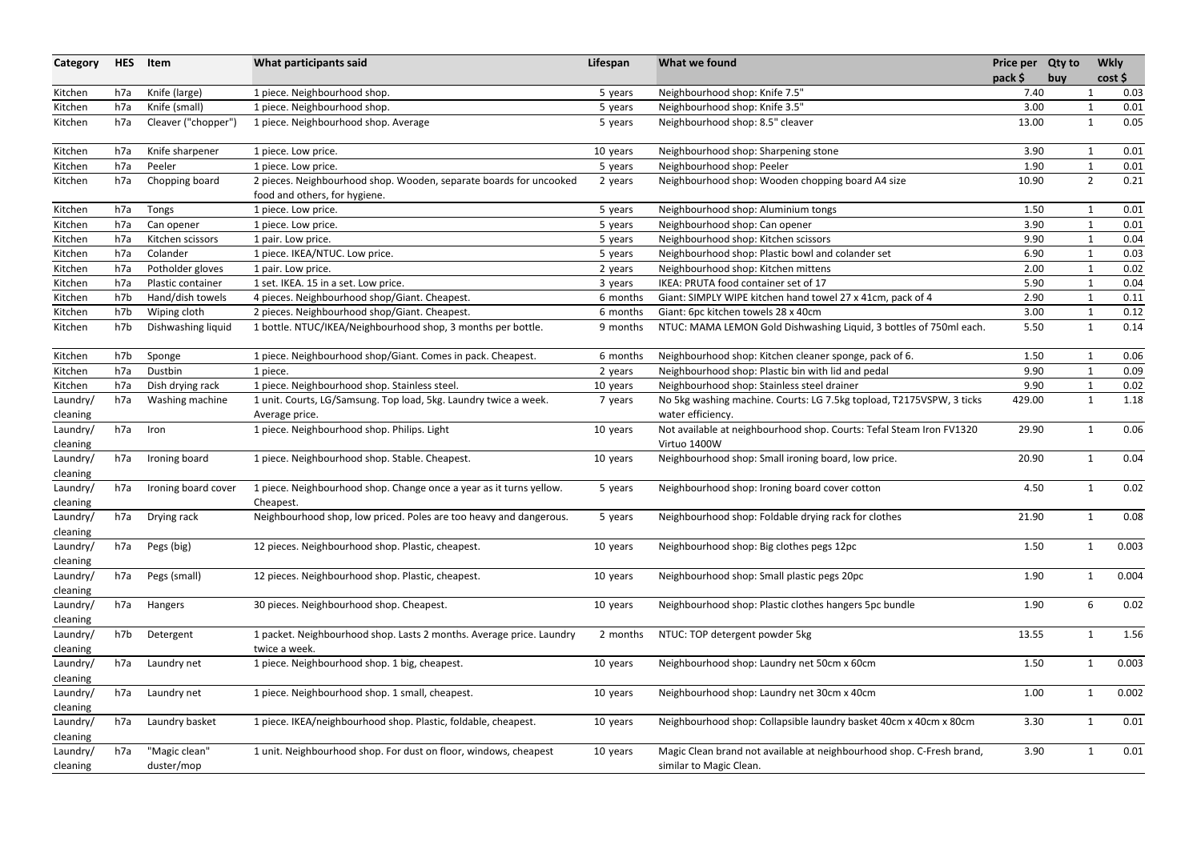| Category             | <b>HES</b> | Item                        | What participants said                                                                              | Lifespan | What we found                                                                                    | Price per Qty to |     |                | <b>Wkly</b>  |
|----------------------|------------|-----------------------------|-----------------------------------------------------------------------------------------------------|----------|--------------------------------------------------------------------------------------------------|------------------|-----|----------------|--------------|
| Kitchen              | h7a        | Knife (large)               | 1 piece. Neighbourhood shop.                                                                        | 5 years  | Neighbourhood shop: Knife 7.5"                                                                   | pack \$<br>7.40  | buy |                | cost<br>0.03 |
| Kitchen              | h7a        | Knife (small)               | 1 piece. Neighbourhood shop.                                                                        | 5 years  | Neighbourhood shop: Knife 3.5"                                                                   | 3.00             |     | 1              | 0.01         |
| Kitchen              | h7a        | Cleaver ("chopper")         | 1 piece. Neighbourhood shop. Average                                                                | 5 years  | Neighbourhood shop: 8.5" cleaver                                                                 | 13.00            |     | $\mathbf{1}$   | 0.05         |
| Kitchen              | h7a        | Knife sharpener             | 1 piece. Low price.                                                                                 | 10 years | Neighbourhood shop: Sharpening stone                                                             | 3.90             |     | $\mathbf{1}$   | 0.01         |
| Kitchen              | h7a        | Peeler                      | 1 piece. Low price.                                                                                 | 5 years  | Neighbourhood shop: Peeler                                                                       | 1.90             |     | $\mathbf{1}$   | 0.01         |
| Kitchen              | h7a        | Chopping board              | 2 pieces. Neighbourhood shop. Wooden, separate boards for uncooked<br>food and others, for hygiene. | 2 years  | Neighbourhood shop: Wooden chopping board A4 size                                                | 10.90            |     | $\overline{2}$ | 0.21         |
| Kitchen              | h7a        | Tongs                       | 1 piece. Low price.                                                                                 | 5 years  | Neighbourhood shop: Aluminium tongs                                                              | 1.50             |     | 1              | 0.01         |
| Kitchen              | h7a        | Can opener                  | 1 piece. Low price.                                                                                 | 5 years  | Neighbourhood shop: Can opener                                                                   | 3.90             |     | $\mathbf{1}$   | 0.01         |
| Kitchen              | h7a        | Kitchen scissors            | 1 pair. Low price.                                                                                  | 5 years  | Neighbourhood shop: Kitchen scissors                                                             | 9.90             |     | $\mathbf{1}$   | 0.04         |
| Kitchen              | h7a        | Colander                    | 1 piece. IKEA/NTUC. Low price.                                                                      | 5 years  | Neighbourhood shop: Plastic bowl and colander set                                                | 6.90             |     | $\mathbf{1}$   | 0.03         |
| Kitchen              | h7a        | Potholder gloves            | 1 pair. Low price.                                                                                  | 2 years  | Neighbourhood shop: Kitchen mittens                                                              | 2.00             |     | $\mathbf{1}$   | 0.02         |
| Kitchen              | h7a        | Plastic container           | 1 set. IKEA. 15 in a set. Low price.                                                                | 3 years  | IKEA: PRUTA food container set of 17                                                             | 5.90             |     | 1              | 0.04         |
| Kitchen              | h7b        | Hand/dish towels            | 4 pieces. Neighbourhood shop/Giant. Cheapest.                                                       | 6 months | Giant: SIMPLY WIPE kitchen hand towel 27 x 41cm, pack of 4                                       | 2.90             |     | $\mathbf{1}$   | 0.11         |
| Kitchen              | h7b        | Wiping cloth                | 2 pieces. Neighbourhood shop/Giant. Cheapest.                                                       | 6 months | Giant: 6pc kitchen towels 28 x 40cm                                                              | 3.00             |     | $\mathbf{1}$   | 0.12         |
| Kitchen              | h7b        | Dishwashing liquid          | 1 bottle. NTUC/IKEA/Neighbourhood shop, 3 months per bottle.                                        | 9 months | NTUC: MAMA LEMON Gold Dishwashing Liquid, 3 bottles of 750ml each.                               | 5.50             |     | $\mathbf{1}$   | 0.14         |
| Kitchen              | h7b        | Sponge                      | 1 piece. Neighbourhood shop/Giant. Comes in pack. Cheapest.                                         | 6 months | Neighbourhood shop: Kitchen cleaner sponge, pack of 6.                                           | 1.50             |     | -1             | 0.06         |
| Kitchen              | h7a        | Dustbin                     | 1 piece.                                                                                            | 2 years  | Neighbourhood shop: Plastic bin with lid and pedal                                               | 9.90             |     | $\mathbf{1}$   | 0.09         |
| Kitchen              | h7a        | Dish drying rack            | 1 piece. Neighbourhood shop. Stainless steel.                                                       | 10 years | Neighbourhood shop: Stainless steel drainer                                                      | 9.90             |     | $\mathbf{1}$   | 0.02         |
| Laundry/             | h7a        | Washing machine             | 1 unit. Courts, LG/Samsung. Top load, 5kg. Laundry twice a week.                                    | 7 years  | No 5kg washing machine. Courts: LG 7.5kg topload, T2175VSPW, 3 ticks                             | 429.00           |     | $\mathbf{1}$   | 1.18         |
| cleaning             |            |                             | Average price.                                                                                      |          | water efficiency.                                                                                |                  |     |                |              |
| Laundry/<br>cleaning | h7a        | Iron                        | 1 piece. Neighbourhood shop. Philips. Light                                                         | 10 years | Not available at neighbourhood shop. Courts: Tefal Steam Iron FV1320<br>Virtuo 1400W             | 29.90            |     | $\mathbf{1}$   | 0.06         |
| Laundry/<br>cleaning | h7a        | Ironing board               | 1 piece. Neighbourhood shop. Stable. Cheapest.                                                      | 10 years | Neighbourhood shop: Small ironing board, low price.                                              | 20.90            |     | $\mathbf 1$    | 0.04         |
| Laundry/<br>cleaning | h7a        | Ironing board cover         | 1 piece. Neighbourhood shop. Change once a year as it turns yellow.<br>Cheapest.                    | 5 years  | Neighbourhood shop: Ironing board cover cotton                                                   | 4.50             |     | $\mathbf{1}$   | 0.02         |
| Laundry/<br>cleaning | h7a        | Drying rack                 | Neighbourhood shop, low priced. Poles are too heavy and dangerous.                                  | 5 years  | Neighbourhood shop: Foldable drying rack for clothes                                             | 21.90            |     | $\mathbf 1$    | 0.08         |
| Laundry/<br>cleaning | h7a        | Pegs (big)                  | 12 pieces. Neighbourhood shop. Plastic, cheapest.                                                   | 10 years | Neighbourhood shop: Big clothes pegs 12pc                                                        | 1.50             |     | $\mathbf 1$    | 0.003        |
| Laundry/<br>cleaning | h7a        | Pegs (small)                | 12 pieces. Neighbourhood shop. Plastic, cheapest.                                                   | 10 years | Neighbourhood shop: Small plastic pegs 20pc                                                      | 1.90             |     | $\mathbf{1}$   | 0.004        |
| Laundry/             | h7a        | Hangers                     | 30 pieces. Neighbourhood shop. Cheapest.                                                            | 10 years | Neighbourhood shop: Plastic clothes hangers 5pc bundle                                           | 1.90             |     | 6              | 0.02         |
| cleaning             |            |                             |                                                                                                     |          |                                                                                                  |                  |     |                |              |
| Laundry/             | h7b        | Detergent                   | 1 packet. Neighbourhood shop. Lasts 2 months. Average price. Laundry                                | 2 months | NTUC: TOP detergent powder 5kg                                                                   | 13.55            |     | 1              | 1.56         |
| cleaning             |            |                             | twice a week.                                                                                       |          |                                                                                                  |                  |     |                |              |
| Laundry/<br>cleaning | h7a        | Laundry net                 | 1 piece. Neighbourhood shop. 1 big, cheapest.                                                       | 10 years | Neighbourhood shop: Laundry net 50cm x 60cm                                                      | 1.50             |     | $\mathbf{1}$   | 0.003        |
| Laundry/<br>cleaning | h7a        | Laundry net                 | 1 piece. Neighbourhood shop. 1 small, cheapest.                                                     | 10 years | Neighbourhood shop: Laundry net 30cm x 40cm                                                      | 1.00             |     | $\mathbf 1$    | 0.002        |
| Laundry/<br>cleaning | h7a        | Laundry basket              | 1 piece. IKEA/neighbourhood shop. Plastic, foldable, cheapest.                                      | 10 years | Neighbourhood shop: Collapsible laundry basket 40cm x 40cm x 80cm                                | 3.30             |     | $\mathbf 1$    | 0.01         |
| Laundry/<br>cleaning | h7a        | "Magic clean"<br>duster/mop | 1 unit. Neighbourhood shop. For dust on floor, windows, cheapest                                    | 10 years | Magic Clean brand not available at neighbourhood shop. C-Fresh brand,<br>similar to Magic Clean. | 3.90             |     |                | 0.01         |
|                      |            |                             |                                                                                                     |          |                                                                                                  |                  |     |                |              |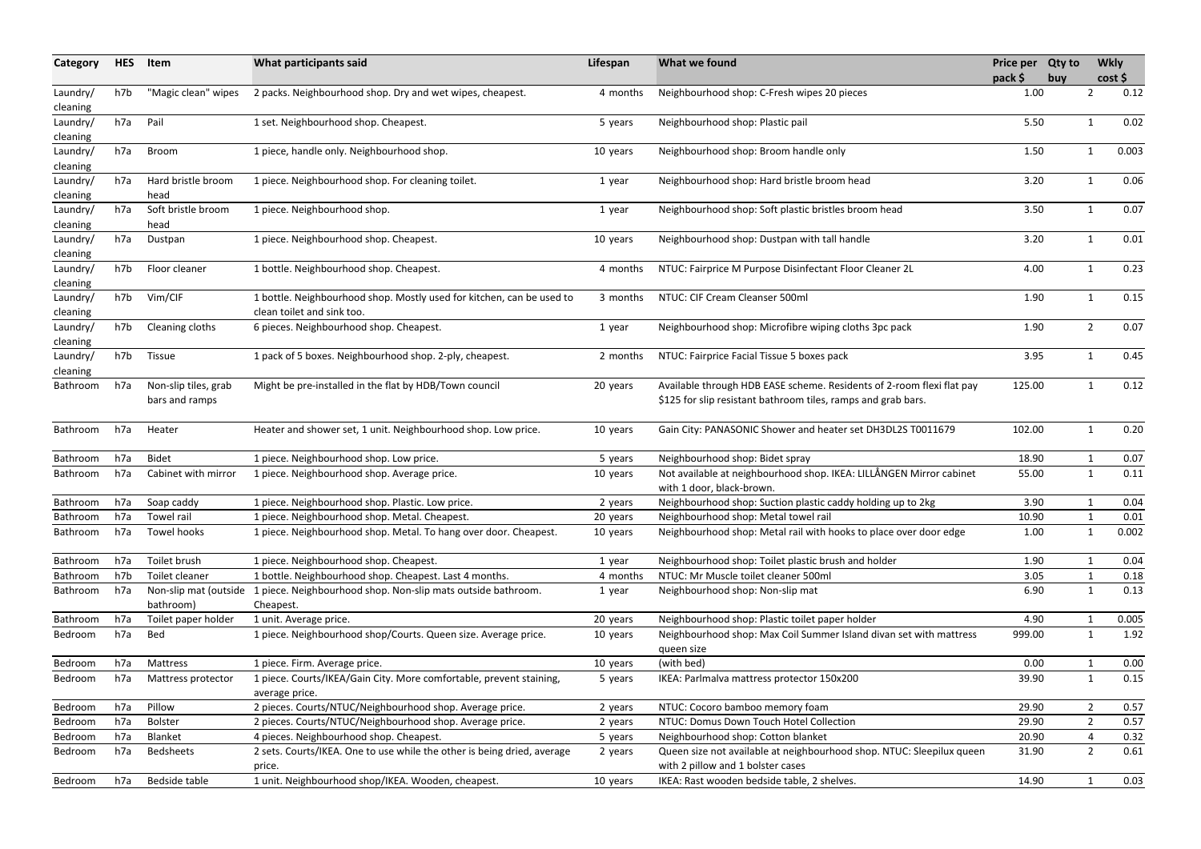| Category             | <b>HES</b> | Item                                   | What participants said                                                                              | Lifespan | What we found                                                                                                                          | Price per Qty to<br>pack \$ | buy |                | <b>Wkly</b><br>cost |
|----------------------|------------|----------------------------------------|-----------------------------------------------------------------------------------------------------|----------|----------------------------------------------------------------------------------------------------------------------------------------|-----------------------------|-----|----------------|---------------------|
| Laundry/<br>cleaning | h7b        | "Magic clean" wipes                    | 2 packs. Neighbourhood shop. Dry and wet wipes, cheapest.                                           | 4 months | Neighbourhood shop: C-Fresh wipes 20 pieces                                                                                            | 1.00                        |     | 2              | 0.12                |
| Laundry/<br>cleaning | h7a        | Pail                                   | 1 set. Neighbourhood shop. Cheapest.                                                                | 5 years  | Neighbourhood shop: Plastic pail                                                                                                       | 5.50                        |     | $\mathbf{1}$   | 0.02                |
| Laundry/<br>cleaning | h7a        | Broom                                  | 1 piece, handle only. Neighbourhood shop.                                                           | 10 years | Neighbourhood shop: Broom handle only                                                                                                  | 1.50                        |     | $\mathbf{1}$   | 0.003               |
| Laundry/<br>cleaning | h7a        | Hard bristle broom<br>head             | 1 piece. Neighbourhood shop. For cleaning toilet.                                                   | 1 year   | Neighbourhood shop: Hard bristle broom head                                                                                            | 3.20                        |     | $\mathbf{1}$   | 0.06                |
| Laundry/<br>cleaning | h7a        | Soft bristle broom<br>head             | 1 piece. Neighbourhood shop.                                                                        | 1 year   | Neighbourhood shop: Soft plastic bristles broom head                                                                                   | 3.50                        |     | 1              | 0.07                |
| Laundry/<br>cleaning | h7a        | Dustpan                                | 1 piece. Neighbourhood shop. Cheapest.                                                              | 10 years | Neighbourhood shop: Dustpan with tall handle                                                                                           | 3.20                        |     | 1              | 0.01                |
| Laundry/<br>cleaning | h7b        | Floor cleaner                          | 1 bottle. Neighbourhood shop. Cheapest.                                                             | 4 months | NTUC: Fairprice M Purpose Disinfectant Floor Cleaner 2L                                                                                | 4.00                        |     | $\mathbf{1}$   | 0.23                |
| Laundry/<br>cleaning | h7b        | Vim/CIF                                | 1 bottle. Neighbourhood shop. Mostly used for kitchen, can be used to<br>clean toilet and sink too. | 3 months | NTUC: CIF Cream Cleanser 500ml                                                                                                         | 1.90                        |     | 1              | 0.15                |
| Laundry/<br>cleaning | h7b        | Cleaning cloths                        | 6 pieces. Neighbourhood shop. Cheapest.                                                             | 1 year   | Neighbourhood shop: Microfibre wiping cloths 3pc pack                                                                                  | 1.90                        |     | $\overline{2}$ | 0.07                |
| Laundry/<br>cleaning | h7b        | <b>Tissue</b>                          | 1 pack of 5 boxes. Neighbourhood shop. 2-ply, cheapest.                                             | 2 months | NTUC: Fairprice Facial Tissue 5 boxes pack                                                                                             | 3.95                        |     | $\mathbf 1$    | 0.45                |
| Bathroom             | h7a        | Non-slip tiles, grab<br>bars and ramps | Might be pre-installed in the flat by HDB/Town council                                              | 20 years | Available through HDB EASE scheme. Residents of 2-room flexi flat pay<br>\$125 for slip resistant bathroom tiles, ramps and grab bars. | 125.00                      |     |                | 0.12                |
| Bathroom             | h7a        | Heater                                 | Heater and shower set, 1 unit. Neighbourhood shop. Low price.                                       | 10 years | Gain City: PANASONIC Shower and heater set DH3DL2S T0011679                                                                            | 102.00                      |     | $\mathbf{1}$   | 0.20                |
| Bathroom             | h7a        | <b>Bidet</b>                           | 1 piece. Neighbourhood shop. Low price.                                                             | 5 years  | Neighbourhood shop: Bidet spray                                                                                                        | 18.90                       |     |                | 0.07                |
| <b>Bathroom</b>      | h7a        | Cabinet with mirror                    | 1 piece. Neighbourhood shop. Average price.                                                         | 10 years | Not available at neighbourhood shop. IKEA: LILLÅNGEN Mirror cabinet<br>with 1 door, black-brown.                                       | 55.00                       |     | $\mathbf{1}$   | 0.11                |
| Bathroom             | h7a        | Soap caddy                             | 1 piece. Neighbourhood shop. Plastic. Low price.                                                    | 2 years  | Neighbourhood shop: Suction plastic caddy holding up to 2kg                                                                            | 3.90                        |     | $\mathbf{1}$   | 0.04                |
| Bathroom             | h7a        | Towel rail                             | 1 piece. Neighbourhood shop. Metal. Cheapest.                                                       | 20 years | Neighbourhood shop: Metal towel rail                                                                                                   | 10.90                       |     |                | 0.01                |
| Bathroom             | h7a        | Towel hooks                            | 1 piece. Neighbourhood shop. Metal. To hang over door. Cheapest.                                    | 10 years | Neighbourhood shop: Metal rail with hooks to place over door edge                                                                      | 1.00                        |     | 1              | 0.002               |
| Bathroom             | h7a        | Toilet brush                           | 1 piece. Neighbourhood shop. Cheapest.                                                              | 1 year   | Neighbourhood shop: Toilet plastic brush and holder                                                                                    | 1.90                        |     |                | 0.04                |
| Bathroom             | h7b        | Toilet cleaner                         | 1 bottle. Neighbourhood shop. Cheapest. Last 4 months.                                              | 4 months | NTUC: Mr Muscle toilet cleaner 500ml                                                                                                   | 3.05                        |     |                | 0.18                |
| Bathroom             | h7a        | Non-slip mat (outside<br>bathroom)     | 1 piece. Neighbourhood shop. Non-slip mats outside bathroom.<br>Cheapest.                           | 1 year   | Neighbourhood shop: Non-slip mat                                                                                                       | 6.90                        |     | 1              | 0.13                |
| Bathroom             | h7a        | Toilet paper holder                    | 1 unit. Average price.                                                                              | 20 years | Neighbourhood shop: Plastic toilet paper holder                                                                                        | 4.90                        |     |                | 0.005               |
| Bedroom              | h7a        | Bed                                    | 1 piece. Neighbourhood shop/Courts. Queen size. Average price.                                      | 10 years | Neighbourhood shop: Max Coil Summer Island divan set with mattress<br>queen size                                                       | 999.00                      |     | $\mathbf{1}$   | 1.92                |
| Bedroom              | h7a        | Mattress                               | 1 piece. Firm. Average price.                                                                       | 10 years | (with bed)                                                                                                                             | 0.00                        |     |                | 0.00                |
| Bedroom              | h7a        | Mattress protector                     | 1 piece. Courts/IKEA/Gain City. More comfortable, prevent staining,<br>average price.               | 5 years  | IKEA: Parlmalva mattress protector 150x200                                                                                             | 39.90                       |     | $\mathbf{1}$   | 0.15                |
| Bedroom              | h7a        | Pillow                                 | 2 pieces. Courts/NTUC/Neighbourhood shop. Average price.                                            | 2 years  | NTUC: Cocoro bamboo memory foam                                                                                                        | 29.90                       |     | 2              | 0.57                |
| Bedroom              | h7a        | <b>Bolster</b>                         | 2 pieces. Courts/NTUC/Neighbourhood shop. Average price.                                            | 2 years  | NTUC: Domus Down Touch Hotel Collection                                                                                                | 29.90                       |     | $\overline{2}$ | 0.57                |
| Bedroom              | h7a        | Blanket                                | 4 pieces. Neighbourhood shop. Cheapest.                                                             | 5 years  | Neighbourhood shop: Cotton blanket                                                                                                     | 20.90                       |     | 4              | 0.32                |
| Bedroom              | h7a        | <b>Bedsheets</b>                       | 2 sets. Courts/IKEA. One to use while the other is being dried, average<br>price.                   | 2 years  | Queen size not available at neighbourhood shop. NTUC: Sleepilux queen<br>with 2 pillow and 1 bolster cases                             | 31.90                       |     | $\overline{2}$ | 0.61                |
| Bedroom              | h7a        | Bedside table                          | 1 unit. Neighbourhood shop/IKEA. Wooden, cheapest.                                                  | 10 years | IKEA: Rast wooden bedside table, 2 shelves.                                                                                            | 14.90                       |     |                | 0.03                |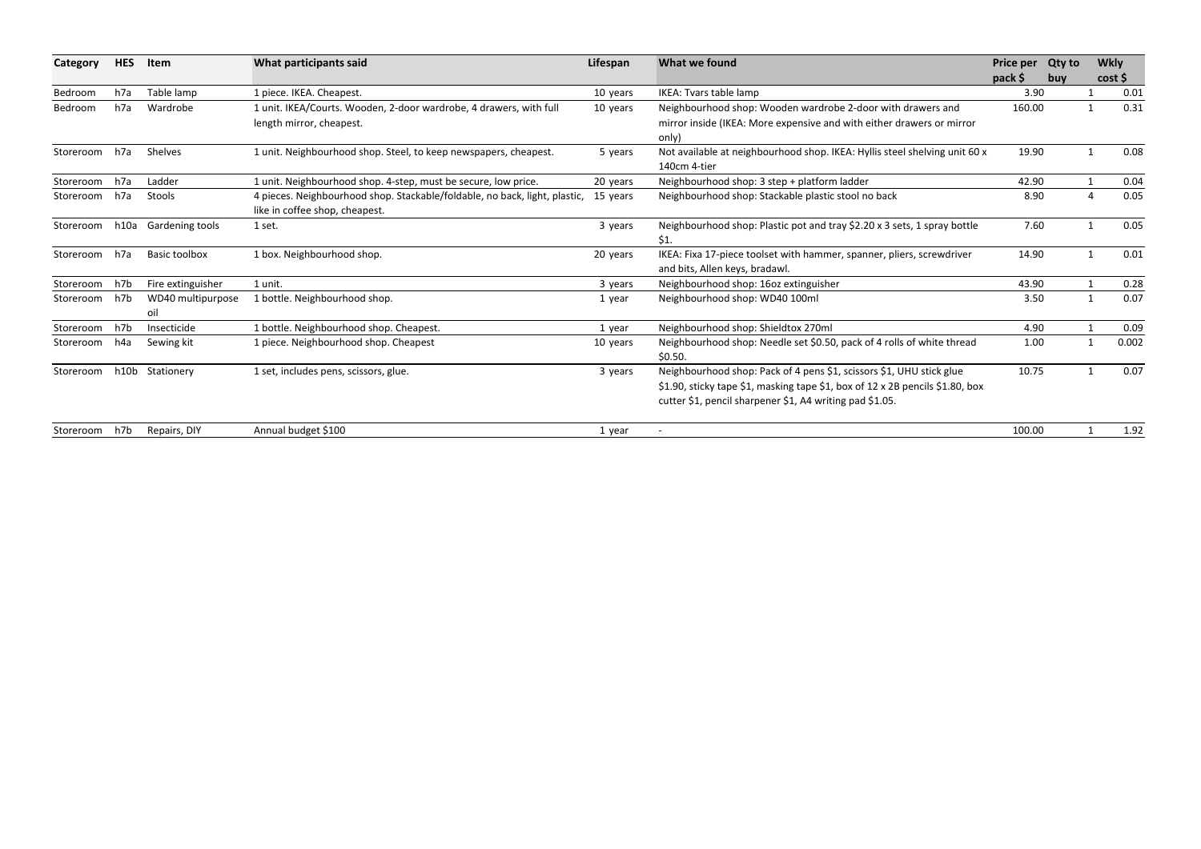| Category  | <b>HES</b> | Item                 | What participants said                                                     | Lifespan | What we found                                                                 | Price per Qty to |     | <b>Wkly</b>  |       |
|-----------|------------|----------------------|----------------------------------------------------------------------------|----------|-------------------------------------------------------------------------------|------------------|-----|--------------|-------|
|           |            |                      |                                                                            |          |                                                                               | pack \$          | buy |              | cost  |
| Bedroom   | h7a        | Table lamp           | 1 piece. IKEA. Cheapest.                                                   | 10 years | IKEA: Tvars table lamp                                                        | 3.90             |     |              | 0.01  |
| Bedroom   | h7a        | Wardrobe             | 1 unit. IKEA/Courts. Wooden, 2-door wardrobe, 4 drawers, with full         | 10 years | Neighbourhood shop: Wooden wardrobe 2-door with drawers and                   | 160.00           |     |              | 0.31  |
|           |            |                      | length mirror, cheapest.                                                   |          | mirror inside (IKEA: More expensive and with either drawers or mirror         |                  |     |              |       |
|           |            |                      |                                                                            |          | only)                                                                         |                  |     |              |       |
| Storeroom | h7a        | Shelves              | 1 unit. Neighbourhood shop. Steel, to keep newspapers, cheapest.           | 5 years  | Not available at neighbourhood shop. IKEA: Hyllis steel shelving unit 60 x    | 19.90            |     |              | 0.08  |
|           |            |                      |                                                                            |          | 140cm 4-tier                                                                  |                  |     |              |       |
| Storeroom | h7a        | Ladder               | 1 unit. Neighbourhood shop. 4-step, must be secure, low price.             | 20 years | Neighbourhood shop: 3 step + platform ladder                                  | 42.90            |     |              | 0.04  |
| Storeroom | h7a        | Stools               | 4 pieces. Neighbourhood shop. Stackable/foldable, no back, light, plastic, | 15 years | Neighbourhood shop: Stackable plastic stool no back                           | 8.90             |     |              | 0.05  |
|           |            |                      | like in coffee shop, cheapest.                                             |          |                                                                               |                  |     |              |       |
| Storeroom | h10a       | Gardening tools      | 1 set.                                                                     | 3 years  | Neighbourhood shop: Plastic pot and tray \$2.20 x 3 sets, 1 spray bottle      | 7.60             |     |              | 0.05  |
|           |            |                      |                                                                            |          | \$1.                                                                          |                  |     |              |       |
| Storeroom | h7a        | <b>Basic toolbox</b> | 1 box. Neighbourhood shop.                                                 | 20 years | IKEA: Fixa 17-piece toolset with hammer, spanner, pliers, screwdriver         | 14.90            |     |              | 0.01  |
|           |            |                      |                                                                            |          | and bits, Allen keys, bradawl.                                                |                  |     |              |       |
| Storeroom | h7b        | Fire extinguisher    | 1 unit.                                                                    | 3 years  | Neighbourhood shop: 16oz extinguisher                                         | 43.90            |     | $\mathbf{1}$ | 0.28  |
| Storeroom | h7b        | WD40 multipurpose    | 1 bottle. Neighbourhood shop.                                              | 1 year   | Neighbourhood shop: WD40 100ml                                                | 3.50             |     | 1            | 0.07  |
|           |            | oil                  |                                                                            |          |                                                                               |                  |     |              |       |
| Storeroom | h7b        | Insecticide          | 1 bottle. Neighbourhood shop. Cheapest.                                    | 1 year   | Neighbourhood shop: Shieldtox 270ml                                           | 4.90             |     |              | 0.09  |
| Storeroom | h4a        | Sewing kit           | 1 piece. Neighbourhood shop. Cheapest                                      | 10 years | Neighbourhood shop: Needle set \$0.50, pack of 4 rolls of white thread        | 1.00             |     | 1            | 0.002 |
|           |            |                      |                                                                            |          | \$0.50.                                                                       |                  |     |              |       |
| Storeroom |            | h10b Stationery      | 1 set, includes pens, scissors, glue.                                      | 3 years  | Neighbourhood shop: Pack of 4 pens \$1, scissors \$1, UHU stick glue          | 10.75            |     |              | 0.07  |
|           |            |                      |                                                                            |          | \$1.90, sticky tape \$1, masking tape \$1, box of 12 x 2B pencils \$1.80, box |                  |     |              |       |
|           |            |                      |                                                                            |          | cutter \$1, pencil sharpener \$1, A4 writing pad \$1.05.                      |                  |     |              |       |
| Storeroom | h7b        | Repairs, DIY         | Annual budget \$100                                                        | 1 year   |                                                                               | 100.00           |     |              | 1.92  |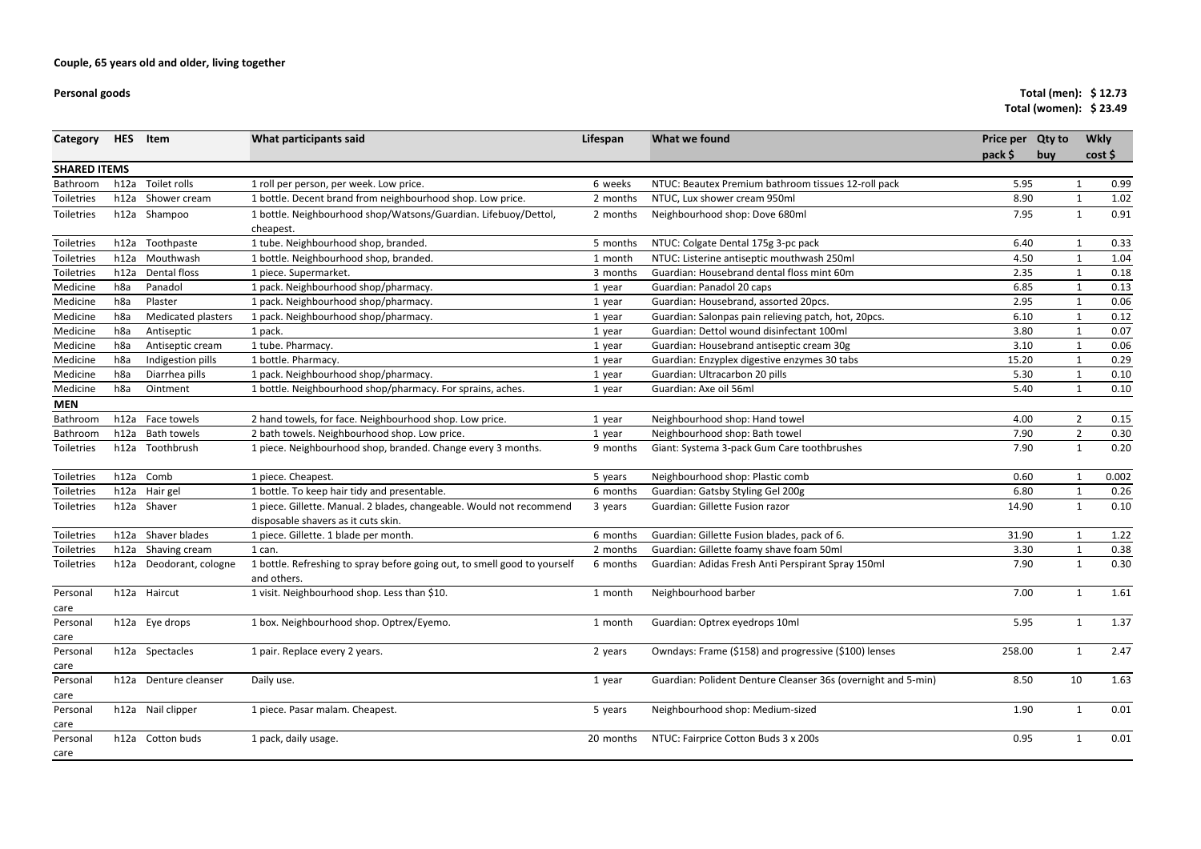**Personal goods**

# **Total (men): \$ 12.73 Total (women): \$ 23.49**

| Category            | <b>HES</b>      | Item                    | What participants said                                                                   | Lifespan  | What we found                                                 | Price per<br>pack \$ | <b>Qty to</b><br>buy | <b>Wkly</b>    | cost  |
|---------------------|-----------------|-------------------------|------------------------------------------------------------------------------------------|-----------|---------------------------------------------------------------|----------------------|----------------------|----------------|-------|
| <b>SHARED ITEMS</b> |                 |                         |                                                                                          |           |                                                               |                      |                      |                |       |
| Bathroom            | h12a            | Toilet rolls            | 1 roll per person, per week. Low price.                                                  | 6 weeks   | NTUC: Beautex Premium bathroom tissues 12-roll pack           | 5.95                 |                      |                | 0.99  |
| Toiletries          | h12a            | Shower cream            | 1 bottle. Decent brand from neighbourhood shop. Low price.                               | 2 months  | NTUC, Lux shower cream 950ml                                  | 8.90                 |                      | $\mathbf{1}$   | 1.02  |
| Toiletries          |                 | h12a Shampoo            | 1 bottle. Neighbourhood shop/Watsons/Guardian. Lifebuoy/Dettol,                          | 2 months  | Neighbourhood shop: Dove 680ml                                | 7.95                 |                      | $\mathbf{1}$   | 0.91  |
|                     |                 |                         | cheapest.                                                                                |           |                                                               |                      |                      |                |       |
| Toiletries          | h12a            | Toothpaste              | 1 tube. Neighbourhood shop, branded.                                                     | 5 months  | NTUC: Colgate Dental 175g 3-pc pack                           | 6.40                 |                      | 1              | 0.33  |
| Toiletries          | h12a            | Mouthwash               | 1 bottle. Neighbourhood shop, branded.                                                   | 1 month   | NTUC: Listerine antiseptic mouthwash 250ml                    | 4.50                 |                      | -1             | 1.04  |
| Toiletries          | h12a            | Dental floss            | 1 piece. Supermarket.                                                                    | 3 months  | Guardian: Housebrand dental floss mint 60m                    | 2.35                 |                      | $\mathbf{1}$   | 0.18  |
| Medicine            | h8a             | Panadol                 | 1 pack. Neighbourhood shop/pharmacy.                                                     | 1 year    | Guardian: Panadol 20 caps                                     | 6.85                 |                      | -1             | 0.13  |
| Medicine            | h <sub>8a</sub> | Plaster                 | 1 pack. Neighbourhood shop/pharmacy.                                                     | 1 year    | Guardian: Housebrand, assorted 20pcs.                         | 2.95                 |                      |                | 0.06  |
| Medicine            | h8a             | Medicated plasters      | 1 pack. Neighbourhood shop/pharmacy.                                                     | 1 year    | Guardian: Salonpas pain relieving patch, hot, 20pcs.          | 6.10                 |                      |                | 0.12  |
| Medicine            | h8a             | Antiseptic              | 1 pack.                                                                                  | 1 year    | Guardian: Dettol wound disinfectant 100ml                     | 3.80                 |                      | $\mathbf{1}$   | 0.07  |
| Medicine            | h8a             | Antiseptic cream        | 1 tube. Pharmacy.                                                                        | 1 year    | Guardian: Housebrand antiseptic cream 30g                     | 3.10                 |                      | $\mathbf{1}$   | 0.06  |
| Medicine            | h8a             | Indigestion pills       | 1 bottle. Pharmacy.                                                                      | 1 year    | Guardian: Enzyplex digestive enzymes 30 tabs                  | 15.20                |                      |                | 0.29  |
| Medicine            | h <sub>8a</sub> | Diarrhea pills          | 1 pack. Neighbourhood shop/pharmacy.                                                     | 1 year    | Guardian: Ultracarbon 20 pills                                | 5.30                 |                      | 1              | 0.10  |
| Medicine            | h8a             | Ointment                | 1 bottle. Neighbourhood shop/pharmacy. For sprains, aches.                               | 1 year    | Guardian: Axe oil 56ml                                        | 5.40                 |                      | 1              | 0.10  |
| <b>MEN</b>          |                 |                         |                                                                                          |           |                                                               |                      |                      |                |       |
| Bathroom            |                 | h12a Face towels        | 2 hand towels, for face. Neighbourhood shop. Low price.                                  | 1 year    | Neighbourhood shop: Hand towel                                | 4.00                 |                      | $\overline{2}$ | 0.15  |
| Bathroom            |                 | h12a Bath towels        | 2 bath towels. Neighbourhood shop. Low price.                                            | 1 year    | Neighbourhood shop: Bath towel                                | 7.90                 |                      | $\overline{2}$ | 0.30  |
| Toiletries          | h12a            | Toothbrush              | 1 piece. Neighbourhood shop, branded. Change every 3 months.                             | 9 months  | Giant: Systema 3-pack Gum Care toothbrushes                   | 7.90                 |                      | 1              | 0.20  |
| Toiletries          |                 | h12a Comb               | 1 piece. Cheapest.                                                                       | 5 years   | Neighbourhood shop: Plastic comb                              | 0.60                 |                      | $\mathbf{1}$   | 0.002 |
| Toiletries          |                 | h12a Hair gel           | 1 bottle. To keep hair tidy and presentable.                                             | 6 months  | Guardian: Gatsby Styling Gel 200g                             | 6.80                 |                      | 1              | 0.26  |
| Toiletries          |                 | h12a Shaver             | 1 piece. Gillette. Manual. 2 blades, changeable. Would not recommend                     | 3 years   | Guardian: Gillette Fusion razor                               | 14.90                |                      | 1              | 0.10  |
|                     |                 |                         | disposable shavers as it cuts skin.                                                      |           |                                                               |                      |                      |                |       |
| Toiletries          |                 | h12a Shaver blades      | 1 piece. Gillette. 1 blade per month.                                                    | 6 months  | Guardian: Gillette Fusion blades, pack of 6.                  | 31.90                |                      | $\mathbf 1$    | 1.22  |
| Toiletries          | h12a            | Shaving cream           | 1 can.                                                                                   | 2 months  | Guardian: Gillette foamy shave foam 50ml                      | 3.30                 |                      | 1              | 0.38  |
| Toiletries          |                 | h12a Deodorant, cologne | 1 bottle. Refreshing to spray before going out, to smell good to yourself<br>and others. | 6 months  | Guardian: Adidas Fresh Anti Perspirant Spray 150ml            | 7.90                 |                      | 1              | 0.30  |
| Personal            |                 | h12a Haircut            | 1 visit. Neighbourhood shop. Less than \$10.                                             | 1 month   | Neighbourhood barber                                          | 7.00                 |                      | $\mathbf{1}$   | 1.61  |
| care                |                 |                         |                                                                                          |           |                                                               |                      |                      |                |       |
| Personal            |                 | h12a Eye drops          | 1 box. Neighbourhood shop. Optrex/Eyemo.                                                 | 1 month   | Guardian: Optrex eyedrops 10ml                                | 5.95                 |                      | 1              | 1.37  |
| care                |                 |                         |                                                                                          |           |                                                               |                      |                      |                |       |
| Personal            |                 | h12a Spectacles         | 1 pair. Replace every 2 years.                                                           | 2 years   | Owndays: Frame (\$158) and progressive (\$100) lenses         | 258.00               |                      | 1              | 2.47  |
| care                |                 |                         |                                                                                          |           |                                                               |                      |                      |                |       |
| Personal            |                 | h12a Denture cleanser   | Daily use.                                                                               | 1 year    | Guardian: Polident Denture Cleanser 36s (overnight and 5-min) | 8.50                 |                      | 10             | 1.63  |
| care                |                 |                         |                                                                                          |           |                                                               |                      |                      |                |       |
| Personal<br>care    |                 | h12a Nail clipper       | 1 piece. Pasar malam. Cheapest.                                                          | 5 years   | Neighbourhood shop: Medium-sized                              | 1.90                 |                      | $\mathbf{1}$   | 0.01  |
| Personal<br>care    |                 | h12a Cotton buds        | 1 pack, daily usage.                                                                     | 20 months | NTUC: Fairprice Cotton Buds 3 x 200s                          | 0.95                 |                      |                | 0.01  |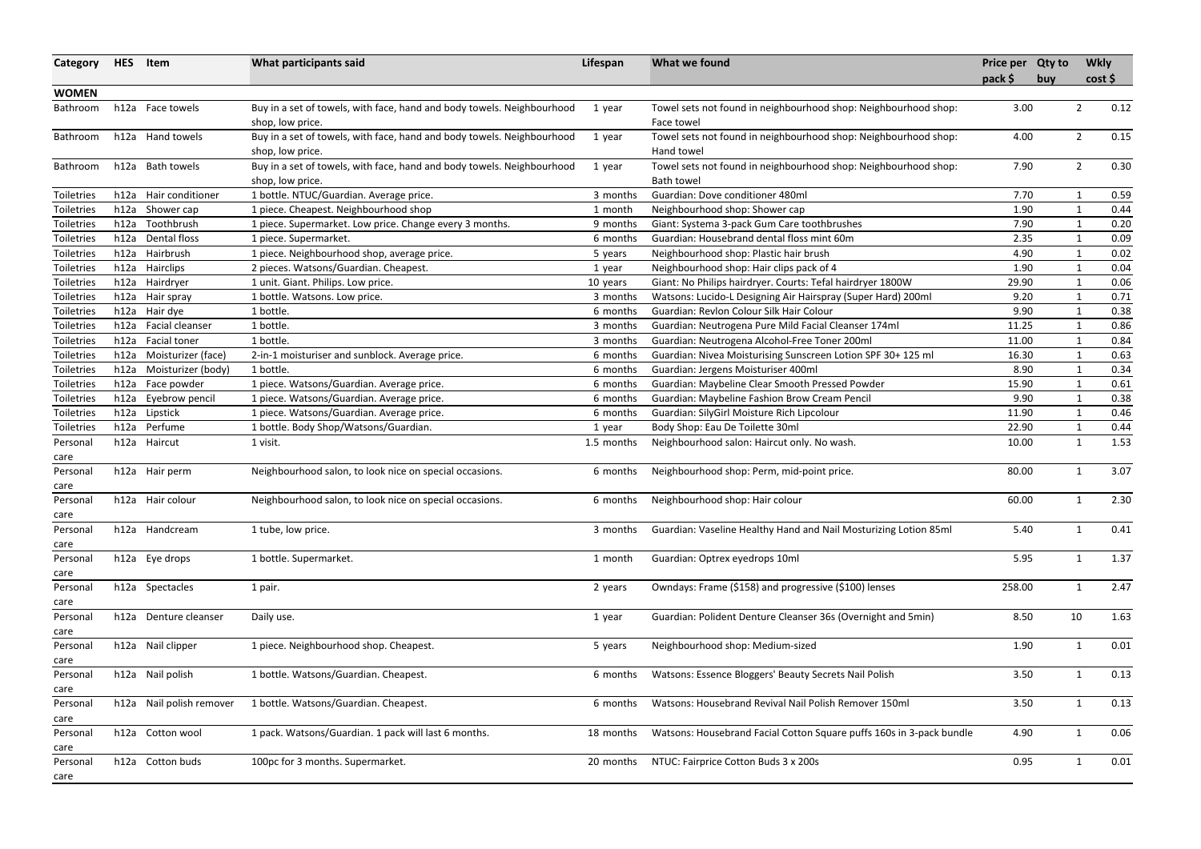| Category          | <b>HES</b> | Item                     | What participants said                                                                     | Lifespan   | What we found                                                                 | Price per Qty to<br>pack \$ | buy | <b>Wkly</b>  | cost |
|-------------------|------------|--------------------------|--------------------------------------------------------------------------------------------|------------|-------------------------------------------------------------------------------|-----------------------------|-----|--------------|------|
| <b>WOMEN</b>      |            |                          |                                                                                            |            |                                                                               |                             |     |              |      |
| Bathroom          |            | h12a Face towels         | Buy in a set of towels, with face, hand and body towels. Neighbourhood<br>shop, low price. | 1 year     | Towel sets not found in neighbourhood shop: Neighbourhood shop:<br>Face towel | 3.00                        |     | 2            | 0.12 |
| Bathroom          |            | h12a Hand towels         | Buy in a set of towels, with face, hand and body towels. Neighbourhood<br>shop, low price. | 1 year     | Towel sets not found in neighbourhood shop: Neighbourhood shop:<br>Hand towel | 4.00                        |     | 2            | 0.15 |
| Bathroom          |            | h12a Bath towels         | Buy in a set of towels, with face, hand and body towels. Neighbourhood                     | 1 year     | Towel sets not found in neighbourhood shop: Neighbourhood shop:               | 7.90                        |     | 2            | 0.30 |
| Toiletries        | h12a       | Hair conditioner         | shop, low price.<br>1 bottle. NTUC/Guardian. Average price.                                | 3 months   | Bath towel<br>Guardian: Dove conditioner 480ml                                | 7.70                        |     | 1            | 0.59 |
| <b>Toiletries</b> | h12a       | Shower cap               | 1 piece. Cheapest. Neighbourhood shop                                                      | 1 month    | Neighbourhood shop: Shower cap                                                | 1.90                        |     | $\mathbf{1}$ | 0.44 |
| <b>Toiletries</b> | h12a       | Toothbrush               | 1 piece. Supermarket. Low price. Change every 3 months.                                    | 9 months   | Giant: Systema 3-pack Gum Care toothbrushes                                   | 7.90                        |     | $\mathbf{1}$ | 0.20 |
| Toiletries        | h12a       | Dental floss             | 1 piece. Supermarket.                                                                      | 6 months   | Guardian: Housebrand dental floss mint 60m                                    | 2.35                        |     |              | 0.09 |
| <b>Toiletries</b> | h12a       | Hairbrush                | 1 piece. Neighbourhood shop, average price.                                                | 5 years    | Neighbourhood shop: Plastic hair brush                                        | 4.90                        |     |              | 0.02 |
| Toiletries        | h12a       | Hairclips                | 2 pieces. Watsons/Guardian. Cheapest.                                                      | 1 year     | Neighbourhood shop: Hair clips pack of 4                                      | 1.90                        |     |              | 0.04 |
| Toiletries        | h12a       | Hairdryer                | 1 unit. Giant. Philips. Low price.                                                         | 10 years   | Giant: No Philips hairdryer. Courts: Tefal hairdryer 1800W                    | 29.90                       |     | $\mathbf{1}$ | 0.06 |
| Toiletries        | h12a       | Hair spray               | 1 bottle. Watsons. Low price.                                                              | 3 months   | Watsons: Lucido-L Designing Air Hairspray (Super Hard) 200ml                  | 9.20                        |     | $\mathbf{1}$ | 0.71 |
| Toiletries        |            | h12a Hair dye            | 1 bottle.                                                                                  | 6 months   | Guardian: Revlon Colour Silk Hair Colour                                      | 9.90                        |     |              | 0.38 |
| Toiletries        | h12a       | Facial cleanser          | 1 bottle.                                                                                  | 3 months   | Guardian: Neutrogena Pure Mild Facial Cleanser 174ml                          | 11.25                       |     |              | 0.86 |
| Toiletries        | h12a       | Facial toner             | 1 bottle.                                                                                  | 3 months   | Guardian: Neutrogena Alcohol-Free Toner 200ml                                 | 11.00                       |     |              | 0.84 |
| Toiletries        | h12a       | Moisturizer (face)       | 2-in-1 moisturiser and sunblock. Average price.                                            | 6 months   | Guardian: Nivea Moisturising Sunscreen Lotion SPF 30+ 125 ml                  | 16.30                       |     | 1            | 0.63 |
| Toiletries        | h12a       | Moisturizer (body)       | 1 bottle.                                                                                  | 6 months   | Guardian: Jergens Moisturiser 400ml                                           | 8.90                        |     | 1            | 0.34 |
| <b>Toiletries</b> |            | h12a Face powder         | 1 piece. Watsons/Guardian. Average price.                                                  | 6 months   | Guardian: Maybeline Clear Smooth Pressed Powder                               | 15.90                       |     | $\mathbf{1}$ | 0.61 |
| <b>Toiletries</b> | h12a       | Eyebrow pencil           | 1 piece. Watsons/Guardian. Average price.                                                  | 6 months   | Guardian: Maybeline Fashion Brow Cream Pencil                                 | 9.90                        |     | $\mathbf{1}$ | 0.38 |
| Toiletries        | h12a       | Lipstick                 | 1 piece. Watsons/Guardian. Average price.                                                  | 6 months   | Guardian: SilyGirl Moisture Rich Lipcolour                                    | 11.90                       |     |              | 0.46 |
| Toiletries        | h12a       | Perfume                  | 1 bottle. Body Shop/Watsons/Guardian.                                                      | 1 year     | Body Shop: Eau De Toilette 30ml                                               | 22.90                       |     | $\mathbf{1}$ | 0.44 |
| Personal          |            | h12a Haircut             | 1 visit.                                                                                   | 1.5 months | Neighbourhood salon: Haircut only. No wash.                                   | 10.00                       |     | $\mathbf{1}$ | 1.53 |
| care              |            |                          |                                                                                            |            |                                                                               |                             |     |              |      |
| Personal          |            | h12a Hair perm           | Neighbourhood salon, to look nice on special occasions.                                    | 6 months   | Neighbourhood shop: Perm, mid-point price.                                    | 80.00                       |     | $\mathbf{1}$ | 3.07 |
| care<br>Personal  |            | h12a Hair colour         | Neighbourhood salon, to look nice on special occasions.                                    | 6 months   | Neighbourhood shop: Hair colour                                               | 60.00                       |     |              | 2.30 |
| care<br>Personal  |            | h12a Handcream           | 1 tube, low price.                                                                         | 3 months   | Guardian: Vaseline Healthy Hand and Nail Mosturizing Lotion 85ml              | 5.40                        |     | 1            | 0.41 |
| care<br>Personal  |            | h12a Eye drops           | 1 bottle. Supermarket.                                                                     | 1 month    | Guardian: Optrex eyedrops 10ml                                                | 5.95                        |     | 1            | 1.37 |
| care<br>Personal  |            | h12a Spectacles          | 1 pair.                                                                                    | 2 years    | Owndays: Frame (\$158) and progressive (\$100) lenses                         | 258.00                      |     | $\mathbf{1}$ | 2.47 |
| care<br>Personal  |            | h12a Denture cleanser    | Daily use.                                                                                 | 1 year     | Guardian: Polident Denture Cleanser 36s (Overnight and 5min)                  | 8.50                        |     | 10           | 1.63 |
| care              |            |                          |                                                                                            |            |                                                                               |                             |     |              |      |
| Personal<br>care  |            | h12a Nail clipper        | 1 piece. Neighbourhood shop. Cheapest.                                                     | 5 years    | Neighbourhood shop: Medium-sized                                              | 1.90                        |     | 1            | 0.01 |
| Personal<br>care  |            | h12a Nail polish         | 1 bottle. Watsons/Guardian. Cheapest.                                                      | 6 months   | Watsons: Essence Bloggers' Beauty Secrets Nail Polish                         | 3.50                        |     | -1           | 0.13 |
| Personal          |            | h12a Nail polish remover | 1 bottle. Watsons/Guardian. Cheapest.                                                      | 6 months   | Watsons: Housebrand Revival Nail Polish Remover 150ml                         | 3.50                        |     |              | 0.13 |
| care<br>Personal  |            | h12a Cotton wool         | 1 pack. Watsons/Guardian. 1 pack will last 6 months.                                       | 18 months  | Watsons: Housebrand Facial Cotton Square puffs 160s in 3-pack bundle          | 4.90                        |     | $\mathbf{1}$ | 0.06 |
| care              |            |                          |                                                                                            |            |                                                                               |                             |     |              |      |
| Personal          |            | h12a Cotton buds         | 100pc for 3 months. Supermarket.                                                           | 20 months  | NTUC: Fairprice Cotton Buds 3 x 200s                                          | 0.95                        |     |              | 0.01 |
| care              |            |                          |                                                                                            |            |                                                                               |                             |     |              |      |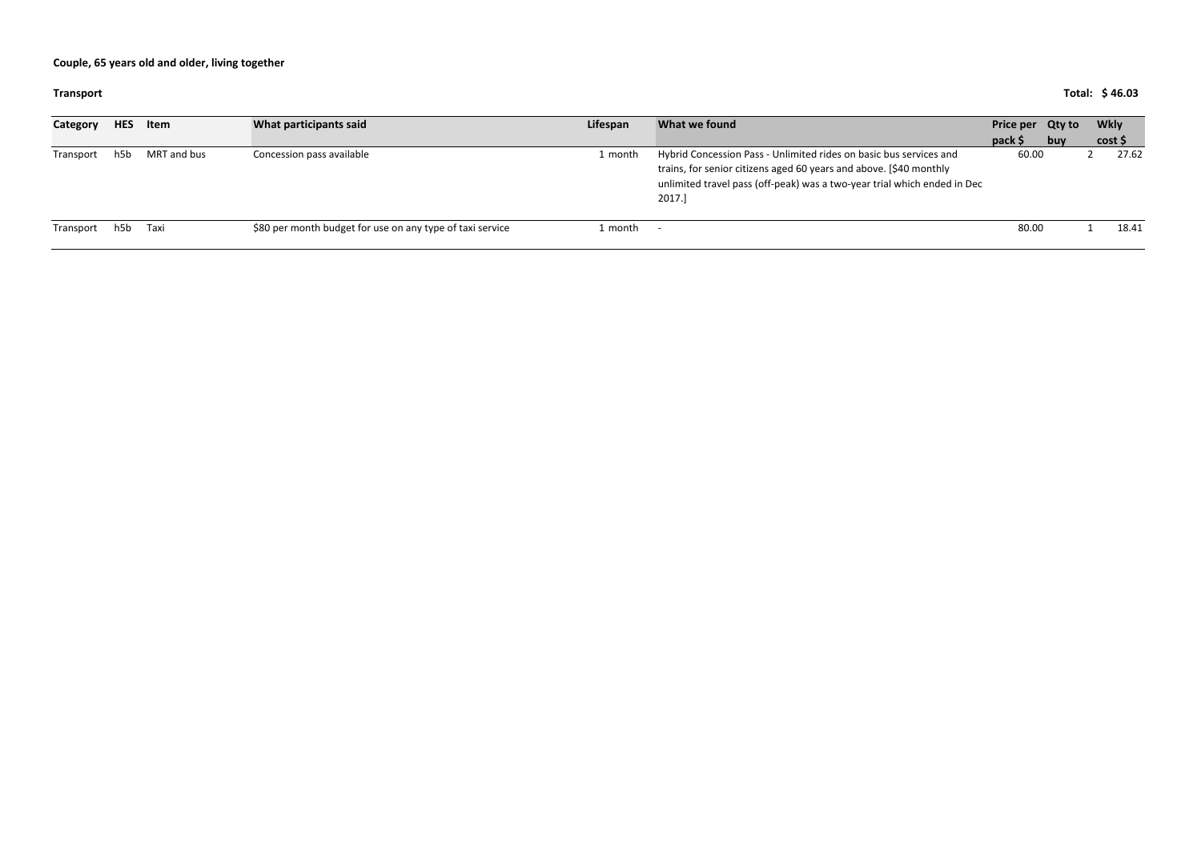#### **Transport Total: 46.03 \$**

| Category  | <b>HES</b> | Item        | What participants said                                    | Lifespan | What we found                                                                                                                                                                                                                  | Price per Qty to |     | Wkly  |
|-----------|------------|-------------|-----------------------------------------------------------|----------|--------------------------------------------------------------------------------------------------------------------------------------------------------------------------------------------------------------------------------|------------------|-----|-------|
|           |            |             |                                                           |          |                                                                                                                                                                                                                                | $pack$ \$        | buy | cost  |
| Transport | h5b        | MRT and bus | Concession pass available                                 | 1 month  | Hybrid Concession Pass - Unlimited rides on basic bus services and<br>trains, for senior citizens aged 60 years and above. [\$40 monthly<br>unlimited travel pass (off-peak) was a two-year trial which ended in Dec<br>2017.] | 60.00            |     | 27.62 |
| Transport | h5b        | Taxi        | \$80 per month budget for use on any type of taxi service | 1 month  |                                                                                                                                                                                                                                | 80.00            |     | 18.41 |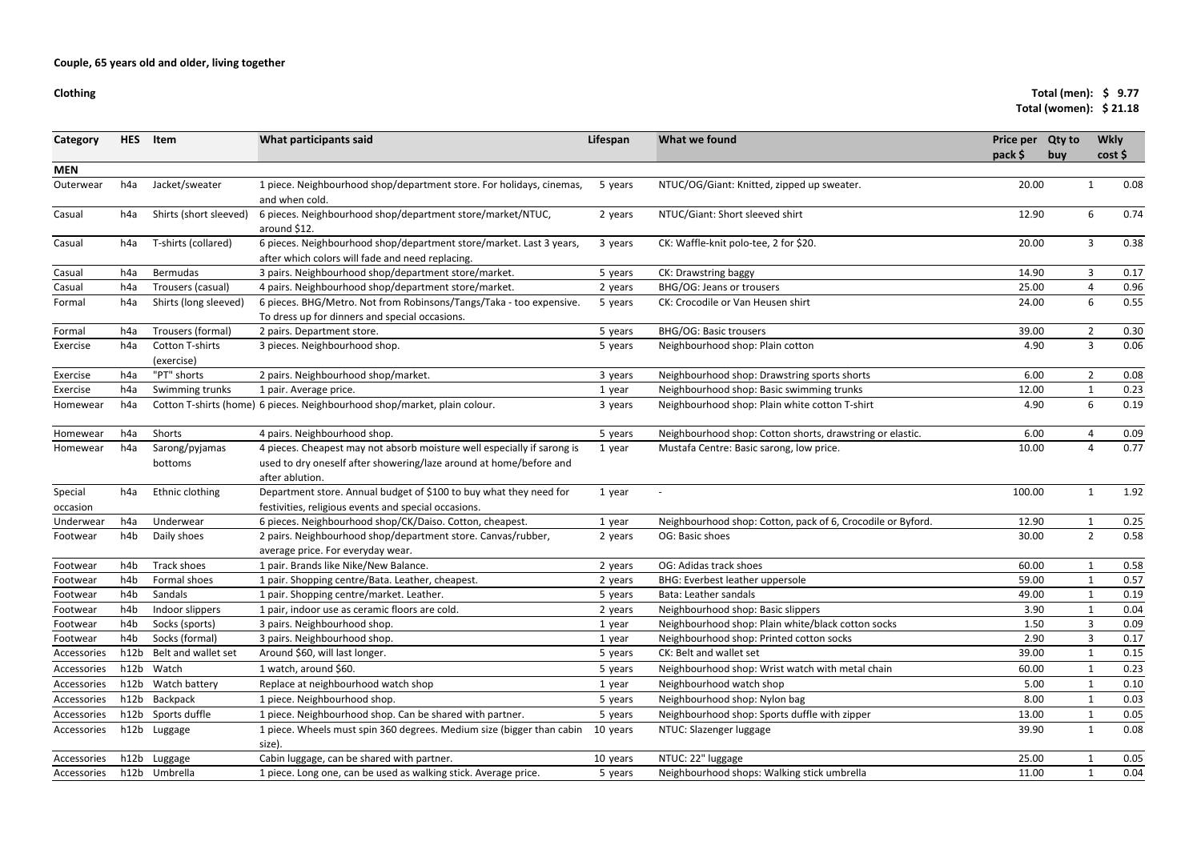#### **Clothing**

### **Total (men): \$ 9.77Total (women): \$ 21.18**

| <b>MEN</b><br>Jacket/sweater<br>1 piece. Neighbourhood shop/department store. For holidays, cinemas,<br>NTUC/OG/Giant: Knitted, zipped up sweater.<br>20.00<br>h4a<br>Outerwear<br>5 years<br>and when cold.<br>Shirts (short sleeved)<br>6 pieces. Neighbourhood shop/department store/market/NTUC,<br>NTUC/Giant: Short sleeved shirt<br>12.90<br>6<br>Casual<br>2 years<br>h4a<br>around \$12.<br>6 pieces. Neighbourhood shop/department store/market. Last 3 years,<br>20.00<br>CK: Waffle-knit polo-tee, 2 for \$20.<br>3<br>Casual<br>T-shirts (collared)<br>3 years<br>h4a<br>after which colors will fade and need replacing.<br>14.90<br>h4a<br>Bermudas<br>3 pairs. Neighbourhood shop/department store/market.<br>CK: Drawstring baggy<br>3<br>Casual<br>5 years<br>4 pairs. Neighbourhood shop/department store/market.<br>BHG/OG: Jeans or trousers<br>25.00<br>Casual<br>h4a<br>Trousers (casual)<br>$\overline{4}$<br>2 years<br>6<br>6 pieces. BHG/Metro. Not from Robinsons/Tangs/Taka - too expensive.<br>Shirts (long sleeved)<br>CK: Crocodile or Van Heusen shirt<br>24.00<br>h4a<br>5 years<br>Formal<br>To dress up for dinners and special occasions.<br><b>BHG/OG: Basic trousers</b><br>39.00<br>$\overline{2}$<br>Trousers (formal)<br>Formal<br>h4a<br>2 pairs. Department store.<br>5 years<br>4.90<br>$\mathbf{3}$<br><b>Cotton T-shirts</b><br>3 pieces. Neighbourhood shop.<br>Neighbourhood shop: Plain cotton<br>Exercise<br>h4a<br>5 years<br>(exercise)<br>"PT" shorts<br>6.00<br>2 pairs. Neighbourhood shop/market.<br>Neighbourhood shop: Drawstring sports shorts<br>$\overline{2}$<br>Exercise<br>h4a<br>3 years<br>Neighbourhood shop: Basic swimming trunks<br>Swimming trunks<br>1 pair. Average price.<br>12.00<br>Exercise<br>h4a<br>1 year<br>6<br>Cotton T-shirts (home) 6 pieces. Neighbourhood shop/market, plain colour.<br>Neighbourhood shop: Plain white cotton T-shirt<br>4.90<br>h4a<br>3 years<br>Homewear<br>Shorts<br>4 pairs. Neighbourhood shop.<br>Neighbourhood shop: Cotton shorts, drawstring or elastic.<br>6.00<br>h <sub>4</sub> a<br>5 years<br>4<br>Homewear<br>4 pieces. Cheapest may not absorb moisture well especially if sarong is<br>Mustafa Centre: Basic sarong, low price.<br>10.00<br>h4a<br>Sarong/pyjamas<br>4<br>Homewear<br>1 year<br>used to dry oneself after showering/laze around at home/before and<br>bottoms<br>after ablution.<br>Special<br>Ethnic clothing<br>Department store. Annual budget of \$100 to buy what they need for<br>100.00<br>h4a<br>1 year<br>$\mathbf{1}$<br>festivities, religious events and special occasions.<br>occasion<br>h4a<br>Underwear<br>6 pieces. Neighbourhood shop/CK/Daiso. Cotton, cheapest.<br>Neighbourhood shop: Cotton, pack of 6, Crocodile or Byford.<br>12.90<br>Underwear<br>1<br>1 year<br>2 pairs. Neighbourhood shop/department store. Canvas/rubber,<br>$\overline{2}$<br>h4b<br>Daily shoes<br>OG: Basic shoes<br>30.00<br>2 years<br>Footwear<br>average price. For everyday wear.<br>Track shoes<br>1 pair. Brands like Nike/New Balance.<br>OG: Adidas track shoes<br>60.00<br>h4b<br>Footwear<br>2 years<br>59.00<br>Formal shoes<br>1 pair. Shopping centre/Bata. Leather, cheapest.<br>BHG: Everbest leather uppersole<br>h4b<br>Footwear<br>2 years<br>Sandals<br>1 pair. Shopping centre/market. Leather.<br>Bata: Leather sandals<br>49.00<br>h4b<br>Footwear<br>5 years<br>1 pair, indoor use as ceramic floors are cold.<br>Neighbourhood shop: Basic slippers<br>3.90<br>h <sub>4</sub> b<br>Indoor slippers<br>Footwear<br>2 years<br>3 pairs. Neighbourhood shop.<br>Socks (sports)<br>Neighbourhood shop: Plain white/black cotton socks<br>1.50<br>h4b<br>3<br>Footwear<br>1 year<br>Socks (formal)<br>3 pairs. Neighbourhood shop.<br>Neighbourhood shop: Printed cotton socks<br>2.90<br>3<br>h4b<br>Footwear<br>1 year<br>Belt and wallet set<br>Around \$60, will last longer.<br>CK: Belt and wallet set<br>39.00<br>h12b<br>Accessories<br>5 years<br>h12b Watch<br>1 watch, around \$60.<br>Neighbourhood shop: Wrist watch with metal chain<br>60.00<br>Accessories<br>5 years<br>Watch battery<br>Replace at neighbourhood watch shop<br>Neighbourhood watch shop<br>5.00<br>h12b<br>Accessories<br>1 year<br>h12b Backpack<br>1 piece. Neighbourhood shop.<br>Neighbourhood shop: Nylon bag<br>8.00<br>Accessories<br>5 years<br>1<br>Sports duffle<br>Neighbourhood shop: Sports duffle with zipper<br>1 piece. Neighbourhood shop. Can be shared with partner.<br>h12b<br>13.00<br>Accessories<br>5 years<br>1 piece. Wheels must spin 360 degrees. Medium size (bigger than cabin<br>NTUC: Slazenger luggage<br>Accessories<br>h12b<br>10 years<br>39.90<br>Luggage<br>1<br>size).<br>Cabin luggage, can be shared with partner.<br>NTUC: 22" luggage<br>25.00<br>h12b Luggage<br>10 years<br>Accessories<br>h12b Umbrella<br>1 piece. Long one, can be used as walking stick. Average price.<br>Neighbourhood shops: Walking stick umbrella<br>11.00<br>Accessories<br>5 years | <b>Category</b> | <b>HES</b> | Item | What participants said | Lifespan | What we found | <b>Price per</b><br>pack \$ | <b>Qty to</b><br>buy | <b>Wkly</b><br>cost |      |
|-------------------------------------------------------------------------------------------------------------------------------------------------------------------------------------------------------------------------------------------------------------------------------------------------------------------------------------------------------------------------------------------------------------------------------------------------------------------------------------------------------------------------------------------------------------------------------------------------------------------------------------------------------------------------------------------------------------------------------------------------------------------------------------------------------------------------------------------------------------------------------------------------------------------------------------------------------------------------------------------------------------------------------------------------------------------------------------------------------------------------------------------------------------------------------------------------------------------------------------------------------------------------------------------------------------------------------------------------------------------------------------------------------------------------------------------------------------------------------------------------------------------------------------------------------------------------------------------------------------------------------------------------------------------------------------------------------------------------------------------------------------------------------------------------------------------------------------------------------------------------------------------------------------------------------------------------------------------------------------------------------------------------------------------------------------------------------------------------------------------------------------------------------------------------------------------------------------------------------------------------------------------------------------------------------------------------------------------------------------------------------------------------------------------------------------------------------------------------------------------------------------------------------------------------------------------------------------------------------------------------------------------------------------------------------------------------------------------------------------------------------------------------------------------------------------------------------------------------------------------------------------------------------------------------------------------------------------------------------------------------------------------------------------------------------------------------------------------------------------------------------------------------------------------------------------------------------------------------------------------------------------------------------------------------------------------------------------------------------------------------------------------------------------------------------------------------------------------------------------------------------------------------------------------------------------------------------------------------------------------------------------------------------------------------------------------------------------------------------------------------------------------------------------------------------------------------------------------------------------------------------------------------------------------------------------------------------------------------------------------------------------------------------------------------------------------------------------------------------------------------------------------------------------------------------------------------------------------------------------------------------------------------------------------------------------------------------------------------------------------------------------------------------------------------------------------------------------------------------------------------------------------------------------------------------------------------------------------------------------------------------------------------------------------------------------------------------------------------------------------------------------------------------------------------------------------------------------------------------------------------------------------------------------------------------------------------------------------------------------------------------------------------------------------------------------|-----------------|------------|------|------------------------|----------|---------------|-----------------------------|----------------------|---------------------|------|
|                                                                                                                                                                                                                                                                                                                                                                                                                                                                                                                                                                                                                                                                                                                                                                                                                                                                                                                                                                                                                                                                                                                                                                                                                                                                                                                                                                                                                                                                                                                                                                                                                                                                                                                                                                                                                                                                                                                                                                                                                                                                                                                                                                                                                                                                                                                                                                                                                                                                                                                                                                                                                                                                                                                                                                                                                                                                                                                                                                                                                                                                                                                                                                                                                                                                                                                                                                                                                                                                                                                                                                                                                                                                                                                                                                                                                                                                                                                                                                                                                                                                                                                                                                                                                                                                                                                                                                                                                                                                                                                                                                                                                                                                                                                                                                                                                                                                                                                                                                                                                                                             |                 |            |      |                        |          |               |                             |                      |                     |      |
|                                                                                                                                                                                                                                                                                                                                                                                                                                                                                                                                                                                                                                                                                                                                                                                                                                                                                                                                                                                                                                                                                                                                                                                                                                                                                                                                                                                                                                                                                                                                                                                                                                                                                                                                                                                                                                                                                                                                                                                                                                                                                                                                                                                                                                                                                                                                                                                                                                                                                                                                                                                                                                                                                                                                                                                                                                                                                                                                                                                                                                                                                                                                                                                                                                                                                                                                                                                                                                                                                                                                                                                                                                                                                                                                                                                                                                                                                                                                                                                                                                                                                                                                                                                                                                                                                                                                                                                                                                                                                                                                                                                                                                                                                                                                                                                                                                                                                                                                                                                                                                                             |                 |            |      |                        |          |               |                             |                      |                     | 0.08 |
|                                                                                                                                                                                                                                                                                                                                                                                                                                                                                                                                                                                                                                                                                                                                                                                                                                                                                                                                                                                                                                                                                                                                                                                                                                                                                                                                                                                                                                                                                                                                                                                                                                                                                                                                                                                                                                                                                                                                                                                                                                                                                                                                                                                                                                                                                                                                                                                                                                                                                                                                                                                                                                                                                                                                                                                                                                                                                                                                                                                                                                                                                                                                                                                                                                                                                                                                                                                                                                                                                                                                                                                                                                                                                                                                                                                                                                                                                                                                                                                                                                                                                                                                                                                                                                                                                                                                                                                                                                                                                                                                                                                                                                                                                                                                                                                                                                                                                                                                                                                                                                                             |                 |            |      |                        |          |               |                             |                      |                     | 0.74 |
|                                                                                                                                                                                                                                                                                                                                                                                                                                                                                                                                                                                                                                                                                                                                                                                                                                                                                                                                                                                                                                                                                                                                                                                                                                                                                                                                                                                                                                                                                                                                                                                                                                                                                                                                                                                                                                                                                                                                                                                                                                                                                                                                                                                                                                                                                                                                                                                                                                                                                                                                                                                                                                                                                                                                                                                                                                                                                                                                                                                                                                                                                                                                                                                                                                                                                                                                                                                                                                                                                                                                                                                                                                                                                                                                                                                                                                                                                                                                                                                                                                                                                                                                                                                                                                                                                                                                                                                                                                                                                                                                                                                                                                                                                                                                                                                                                                                                                                                                                                                                                                                             |                 |            |      |                        |          |               |                             |                      |                     | 0.38 |
|                                                                                                                                                                                                                                                                                                                                                                                                                                                                                                                                                                                                                                                                                                                                                                                                                                                                                                                                                                                                                                                                                                                                                                                                                                                                                                                                                                                                                                                                                                                                                                                                                                                                                                                                                                                                                                                                                                                                                                                                                                                                                                                                                                                                                                                                                                                                                                                                                                                                                                                                                                                                                                                                                                                                                                                                                                                                                                                                                                                                                                                                                                                                                                                                                                                                                                                                                                                                                                                                                                                                                                                                                                                                                                                                                                                                                                                                                                                                                                                                                                                                                                                                                                                                                                                                                                                                                                                                                                                                                                                                                                                                                                                                                                                                                                                                                                                                                                                                                                                                                                                             |                 |            |      |                        |          |               |                             |                      |                     | 0.17 |
|                                                                                                                                                                                                                                                                                                                                                                                                                                                                                                                                                                                                                                                                                                                                                                                                                                                                                                                                                                                                                                                                                                                                                                                                                                                                                                                                                                                                                                                                                                                                                                                                                                                                                                                                                                                                                                                                                                                                                                                                                                                                                                                                                                                                                                                                                                                                                                                                                                                                                                                                                                                                                                                                                                                                                                                                                                                                                                                                                                                                                                                                                                                                                                                                                                                                                                                                                                                                                                                                                                                                                                                                                                                                                                                                                                                                                                                                                                                                                                                                                                                                                                                                                                                                                                                                                                                                                                                                                                                                                                                                                                                                                                                                                                                                                                                                                                                                                                                                                                                                                                                             |                 |            |      |                        |          |               |                             |                      |                     | 0.96 |
|                                                                                                                                                                                                                                                                                                                                                                                                                                                                                                                                                                                                                                                                                                                                                                                                                                                                                                                                                                                                                                                                                                                                                                                                                                                                                                                                                                                                                                                                                                                                                                                                                                                                                                                                                                                                                                                                                                                                                                                                                                                                                                                                                                                                                                                                                                                                                                                                                                                                                                                                                                                                                                                                                                                                                                                                                                                                                                                                                                                                                                                                                                                                                                                                                                                                                                                                                                                                                                                                                                                                                                                                                                                                                                                                                                                                                                                                                                                                                                                                                                                                                                                                                                                                                                                                                                                                                                                                                                                                                                                                                                                                                                                                                                                                                                                                                                                                                                                                                                                                                                                             |                 |            |      |                        |          |               |                             |                      |                     | 0.55 |
|                                                                                                                                                                                                                                                                                                                                                                                                                                                                                                                                                                                                                                                                                                                                                                                                                                                                                                                                                                                                                                                                                                                                                                                                                                                                                                                                                                                                                                                                                                                                                                                                                                                                                                                                                                                                                                                                                                                                                                                                                                                                                                                                                                                                                                                                                                                                                                                                                                                                                                                                                                                                                                                                                                                                                                                                                                                                                                                                                                                                                                                                                                                                                                                                                                                                                                                                                                                                                                                                                                                                                                                                                                                                                                                                                                                                                                                                                                                                                                                                                                                                                                                                                                                                                                                                                                                                                                                                                                                                                                                                                                                                                                                                                                                                                                                                                                                                                                                                                                                                                                                             |                 |            |      |                        |          |               |                             |                      |                     | 0.30 |
|                                                                                                                                                                                                                                                                                                                                                                                                                                                                                                                                                                                                                                                                                                                                                                                                                                                                                                                                                                                                                                                                                                                                                                                                                                                                                                                                                                                                                                                                                                                                                                                                                                                                                                                                                                                                                                                                                                                                                                                                                                                                                                                                                                                                                                                                                                                                                                                                                                                                                                                                                                                                                                                                                                                                                                                                                                                                                                                                                                                                                                                                                                                                                                                                                                                                                                                                                                                                                                                                                                                                                                                                                                                                                                                                                                                                                                                                                                                                                                                                                                                                                                                                                                                                                                                                                                                                                                                                                                                                                                                                                                                                                                                                                                                                                                                                                                                                                                                                                                                                                                                             |                 |            |      |                        |          |               |                             |                      |                     | 0.06 |
|                                                                                                                                                                                                                                                                                                                                                                                                                                                                                                                                                                                                                                                                                                                                                                                                                                                                                                                                                                                                                                                                                                                                                                                                                                                                                                                                                                                                                                                                                                                                                                                                                                                                                                                                                                                                                                                                                                                                                                                                                                                                                                                                                                                                                                                                                                                                                                                                                                                                                                                                                                                                                                                                                                                                                                                                                                                                                                                                                                                                                                                                                                                                                                                                                                                                                                                                                                                                                                                                                                                                                                                                                                                                                                                                                                                                                                                                                                                                                                                                                                                                                                                                                                                                                                                                                                                                                                                                                                                                                                                                                                                                                                                                                                                                                                                                                                                                                                                                                                                                                                                             |                 |            |      |                        |          |               |                             |                      |                     | 0.08 |
|                                                                                                                                                                                                                                                                                                                                                                                                                                                                                                                                                                                                                                                                                                                                                                                                                                                                                                                                                                                                                                                                                                                                                                                                                                                                                                                                                                                                                                                                                                                                                                                                                                                                                                                                                                                                                                                                                                                                                                                                                                                                                                                                                                                                                                                                                                                                                                                                                                                                                                                                                                                                                                                                                                                                                                                                                                                                                                                                                                                                                                                                                                                                                                                                                                                                                                                                                                                                                                                                                                                                                                                                                                                                                                                                                                                                                                                                                                                                                                                                                                                                                                                                                                                                                                                                                                                                                                                                                                                                                                                                                                                                                                                                                                                                                                                                                                                                                                                                                                                                                                                             |                 |            |      |                        |          |               |                             |                      |                     | 0.23 |
|                                                                                                                                                                                                                                                                                                                                                                                                                                                                                                                                                                                                                                                                                                                                                                                                                                                                                                                                                                                                                                                                                                                                                                                                                                                                                                                                                                                                                                                                                                                                                                                                                                                                                                                                                                                                                                                                                                                                                                                                                                                                                                                                                                                                                                                                                                                                                                                                                                                                                                                                                                                                                                                                                                                                                                                                                                                                                                                                                                                                                                                                                                                                                                                                                                                                                                                                                                                                                                                                                                                                                                                                                                                                                                                                                                                                                                                                                                                                                                                                                                                                                                                                                                                                                                                                                                                                                                                                                                                                                                                                                                                                                                                                                                                                                                                                                                                                                                                                                                                                                                                             |                 |            |      |                        |          |               |                             |                      |                     | 0.19 |
|                                                                                                                                                                                                                                                                                                                                                                                                                                                                                                                                                                                                                                                                                                                                                                                                                                                                                                                                                                                                                                                                                                                                                                                                                                                                                                                                                                                                                                                                                                                                                                                                                                                                                                                                                                                                                                                                                                                                                                                                                                                                                                                                                                                                                                                                                                                                                                                                                                                                                                                                                                                                                                                                                                                                                                                                                                                                                                                                                                                                                                                                                                                                                                                                                                                                                                                                                                                                                                                                                                                                                                                                                                                                                                                                                                                                                                                                                                                                                                                                                                                                                                                                                                                                                                                                                                                                                                                                                                                                                                                                                                                                                                                                                                                                                                                                                                                                                                                                                                                                                                                             |                 |            |      |                        |          |               |                             |                      |                     | 0.09 |
|                                                                                                                                                                                                                                                                                                                                                                                                                                                                                                                                                                                                                                                                                                                                                                                                                                                                                                                                                                                                                                                                                                                                                                                                                                                                                                                                                                                                                                                                                                                                                                                                                                                                                                                                                                                                                                                                                                                                                                                                                                                                                                                                                                                                                                                                                                                                                                                                                                                                                                                                                                                                                                                                                                                                                                                                                                                                                                                                                                                                                                                                                                                                                                                                                                                                                                                                                                                                                                                                                                                                                                                                                                                                                                                                                                                                                                                                                                                                                                                                                                                                                                                                                                                                                                                                                                                                                                                                                                                                                                                                                                                                                                                                                                                                                                                                                                                                                                                                                                                                                                                             |                 |            |      |                        |          |               |                             |                      |                     | 0.77 |
|                                                                                                                                                                                                                                                                                                                                                                                                                                                                                                                                                                                                                                                                                                                                                                                                                                                                                                                                                                                                                                                                                                                                                                                                                                                                                                                                                                                                                                                                                                                                                                                                                                                                                                                                                                                                                                                                                                                                                                                                                                                                                                                                                                                                                                                                                                                                                                                                                                                                                                                                                                                                                                                                                                                                                                                                                                                                                                                                                                                                                                                                                                                                                                                                                                                                                                                                                                                                                                                                                                                                                                                                                                                                                                                                                                                                                                                                                                                                                                                                                                                                                                                                                                                                                                                                                                                                                                                                                                                                                                                                                                                                                                                                                                                                                                                                                                                                                                                                                                                                                                                             |                 |            |      |                        |          |               |                             |                      |                     | 1.92 |
|                                                                                                                                                                                                                                                                                                                                                                                                                                                                                                                                                                                                                                                                                                                                                                                                                                                                                                                                                                                                                                                                                                                                                                                                                                                                                                                                                                                                                                                                                                                                                                                                                                                                                                                                                                                                                                                                                                                                                                                                                                                                                                                                                                                                                                                                                                                                                                                                                                                                                                                                                                                                                                                                                                                                                                                                                                                                                                                                                                                                                                                                                                                                                                                                                                                                                                                                                                                                                                                                                                                                                                                                                                                                                                                                                                                                                                                                                                                                                                                                                                                                                                                                                                                                                                                                                                                                                                                                                                                                                                                                                                                                                                                                                                                                                                                                                                                                                                                                                                                                                                                             |                 |            |      |                        |          |               |                             |                      |                     | 0.25 |
|                                                                                                                                                                                                                                                                                                                                                                                                                                                                                                                                                                                                                                                                                                                                                                                                                                                                                                                                                                                                                                                                                                                                                                                                                                                                                                                                                                                                                                                                                                                                                                                                                                                                                                                                                                                                                                                                                                                                                                                                                                                                                                                                                                                                                                                                                                                                                                                                                                                                                                                                                                                                                                                                                                                                                                                                                                                                                                                                                                                                                                                                                                                                                                                                                                                                                                                                                                                                                                                                                                                                                                                                                                                                                                                                                                                                                                                                                                                                                                                                                                                                                                                                                                                                                                                                                                                                                                                                                                                                                                                                                                                                                                                                                                                                                                                                                                                                                                                                                                                                                                                             |                 |            |      |                        |          |               |                             |                      |                     | 0.58 |
|                                                                                                                                                                                                                                                                                                                                                                                                                                                                                                                                                                                                                                                                                                                                                                                                                                                                                                                                                                                                                                                                                                                                                                                                                                                                                                                                                                                                                                                                                                                                                                                                                                                                                                                                                                                                                                                                                                                                                                                                                                                                                                                                                                                                                                                                                                                                                                                                                                                                                                                                                                                                                                                                                                                                                                                                                                                                                                                                                                                                                                                                                                                                                                                                                                                                                                                                                                                                                                                                                                                                                                                                                                                                                                                                                                                                                                                                                                                                                                                                                                                                                                                                                                                                                                                                                                                                                                                                                                                                                                                                                                                                                                                                                                                                                                                                                                                                                                                                                                                                                                                             |                 |            |      |                        |          |               |                             |                      |                     | 0.58 |
|                                                                                                                                                                                                                                                                                                                                                                                                                                                                                                                                                                                                                                                                                                                                                                                                                                                                                                                                                                                                                                                                                                                                                                                                                                                                                                                                                                                                                                                                                                                                                                                                                                                                                                                                                                                                                                                                                                                                                                                                                                                                                                                                                                                                                                                                                                                                                                                                                                                                                                                                                                                                                                                                                                                                                                                                                                                                                                                                                                                                                                                                                                                                                                                                                                                                                                                                                                                                                                                                                                                                                                                                                                                                                                                                                                                                                                                                                                                                                                                                                                                                                                                                                                                                                                                                                                                                                                                                                                                                                                                                                                                                                                                                                                                                                                                                                                                                                                                                                                                                                                                             |                 |            |      |                        |          |               |                             |                      |                     | 0.57 |
|                                                                                                                                                                                                                                                                                                                                                                                                                                                                                                                                                                                                                                                                                                                                                                                                                                                                                                                                                                                                                                                                                                                                                                                                                                                                                                                                                                                                                                                                                                                                                                                                                                                                                                                                                                                                                                                                                                                                                                                                                                                                                                                                                                                                                                                                                                                                                                                                                                                                                                                                                                                                                                                                                                                                                                                                                                                                                                                                                                                                                                                                                                                                                                                                                                                                                                                                                                                                                                                                                                                                                                                                                                                                                                                                                                                                                                                                                                                                                                                                                                                                                                                                                                                                                                                                                                                                                                                                                                                                                                                                                                                                                                                                                                                                                                                                                                                                                                                                                                                                                                                             |                 |            |      |                        |          |               |                             |                      |                     | 0.19 |
|                                                                                                                                                                                                                                                                                                                                                                                                                                                                                                                                                                                                                                                                                                                                                                                                                                                                                                                                                                                                                                                                                                                                                                                                                                                                                                                                                                                                                                                                                                                                                                                                                                                                                                                                                                                                                                                                                                                                                                                                                                                                                                                                                                                                                                                                                                                                                                                                                                                                                                                                                                                                                                                                                                                                                                                                                                                                                                                                                                                                                                                                                                                                                                                                                                                                                                                                                                                                                                                                                                                                                                                                                                                                                                                                                                                                                                                                                                                                                                                                                                                                                                                                                                                                                                                                                                                                                                                                                                                                                                                                                                                                                                                                                                                                                                                                                                                                                                                                                                                                                                                             |                 |            |      |                        |          |               |                             |                      |                     | 0.04 |
|                                                                                                                                                                                                                                                                                                                                                                                                                                                                                                                                                                                                                                                                                                                                                                                                                                                                                                                                                                                                                                                                                                                                                                                                                                                                                                                                                                                                                                                                                                                                                                                                                                                                                                                                                                                                                                                                                                                                                                                                                                                                                                                                                                                                                                                                                                                                                                                                                                                                                                                                                                                                                                                                                                                                                                                                                                                                                                                                                                                                                                                                                                                                                                                                                                                                                                                                                                                                                                                                                                                                                                                                                                                                                                                                                                                                                                                                                                                                                                                                                                                                                                                                                                                                                                                                                                                                                                                                                                                                                                                                                                                                                                                                                                                                                                                                                                                                                                                                                                                                                                                             |                 |            |      |                        |          |               |                             |                      |                     | 0.09 |
|                                                                                                                                                                                                                                                                                                                                                                                                                                                                                                                                                                                                                                                                                                                                                                                                                                                                                                                                                                                                                                                                                                                                                                                                                                                                                                                                                                                                                                                                                                                                                                                                                                                                                                                                                                                                                                                                                                                                                                                                                                                                                                                                                                                                                                                                                                                                                                                                                                                                                                                                                                                                                                                                                                                                                                                                                                                                                                                                                                                                                                                                                                                                                                                                                                                                                                                                                                                                                                                                                                                                                                                                                                                                                                                                                                                                                                                                                                                                                                                                                                                                                                                                                                                                                                                                                                                                                                                                                                                                                                                                                                                                                                                                                                                                                                                                                                                                                                                                                                                                                                                             |                 |            |      |                        |          |               |                             |                      |                     | 0.17 |
|                                                                                                                                                                                                                                                                                                                                                                                                                                                                                                                                                                                                                                                                                                                                                                                                                                                                                                                                                                                                                                                                                                                                                                                                                                                                                                                                                                                                                                                                                                                                                                                                                                                                                                                                                                                                                                                                                                                                                                                                                                                                                                                                                                                                                                                                                                                                                                                                                                                                                                                                                                                                                                                                                                                                                                                                                                                                                                                                                                                                                                                                                                                                                                                                                                                                                                                                                                                                                                                                                                                                                                                                                                                                                                                                                                                                                                                                                                                                                                                                                                                                                                                                                                                                                                                                                                                                                                                                                                                                                                                                                                                                                                                                                                                                                                                                                                                                                                                                                                                                                                                             |                 |            |      |                        |          |               |                             |                      |                     | 0.15 |
|                                                                                                                                                                                                                                                                                                                                                                                                                                                                                                                                                                                                                                                                                                                                                                                                                                                                                                                                                                                                                                                                                                                                                                                                                                                                                                                                                                                                                                                                                                                                                                                                                                                                                                                                                                                                                                                                                                                                                                                                                                                                                                                                                                                                                                                                                                                                                                                                                                                                                                                                                                                                                                                                                                                                                                                                                                                                                                                                                                                                                                                                                                                                                                                                                                                                                                                                                                                                                                                                                                                                                                                                                                                                                                                                                                                                                                                                                                                                                                                                                                                                                                                                                                                                                                                                                                                                                                                                                                                                                                                                                                                                                                                                                                                                                                                                                                                                                                                                                                                                                                                             |                 |            |      |                        |          |               |                             |                      |                     | 0.23 |
|                                                                                                                                                                                                                                                                                                                                                                                                                                                                                                                                                                                                                                                                                                                                                                                                                                                                                                                                                                                                                                                                                                                                                                                                                                                                                                                                                                                                                                                                                                                                                                                                                                                                                                                                                                                                                                                                                                                                                                                                                                                                                                                                                                                                                                                                                                                                                                                                                                                                                                                                                                                                                                                                                                                                                                                                                                                                                                                                                                                                                                                                                                                                                                                                                                                                                                                                                                                                                                                                                                                                                                                                                                                                                                                                                                                                                                                                                                                                                                                                                                                                                                                                                                                                                                                                                                                                                                                                                                                                                                                                                                                                                                                                                                                                                                                                                                                                                                                                                                                                                                                             |                 |            |      |                        |          |               |                             |                      |                     | 0.10 |
|                                                                                                                                                                                                                                                                                                                                                                                                                                                                                                                                                                                                                                                                                                                                                                                                                                                                                                                                                                                                                                                                                                                                                                                                                                                                                                                                                                                                                                                                                                                                                                                                                                                                                                                                                                                                                                                                                                                                                                                                                                                                                                                                                                                                                                                                                                                                                                                                                                                                                                                                                                                                                                                                                                                                                                                                                                                                                                                                                                                                                                                                                                                                                                                                                                                                                                                                                                                                                                                                                                                                                                                                                                                                                                                                                                                                                                                                                                                                                                                                                                                                                                                                                                                                                                                                                                                                                                                                                                                                                                                                                                                                                                                                                                                                                                                                                                                                                                                                                                                                                                                             |                 |            |      |                        |          |               |                             |                      |                     | 0.03 |
|                                                                                                                                                                                                                                                                                                                                                                                                                                                                                                                                                                                                                                                                                                                                                                                                                                                                                                                                                                                                                                                                                                                                                                                                                                                                                                                                                                                                                                                                                                                                                                                                                                                                                                                                                                                                                                                                                                                                                                                                                                                                                                                                                                                                                                                                                                                                                                                                                                                                                                                                                                                                                                                                                                                                                                                                                                                                                                                                                                                                                                                                                                                                                                                                                                                                                                                                                                                                                                                                                                                                                                                                                                                                                                                                                                                                                                                                                                                                                                                                                                                                                                                                                                                                                                                                                                                                                                                                                                                                                                                                                                                                                                                                                                                                                                                                                                                                                                                                                                                                                                                             |                 |            |      |                        |          |               |                             |                      |                     | 0.05 |
|                                                                                                                                                                                                                                                                                                                                                                                                                                                                                                                                                                                                                                                                                                                                                                                                                                                                                                                                                                                                                                                                                                                                                                                                                                                                                                                                                                                                                                                                                                                                                                                                                                                                                                                                                                                                                                                                                                                                                                                                                                                                                                                                                                                                                                                                                                                                                                                                                                                                                                                                                                                                                                                                                                                                                                                                                                                                                                                                                                                                                                                                                                                                                                                                                                                                                                                                                                                                                                                                                                                                                                                                                                                                                                                                                                                                                                                                                                                                                                                                                                                                                                                                                                                                                                                                                                                                                                                                                                                                                                                                                                                                                                                                                                                                                                                                                                                                                                                                                                                                                                                             |                 |            |      |                        |          |               |                             |                      |                     | 0.08 |
|                                                                                                                                                                                                                                                                                                                                                                                                                                                                                                                                                                                                                                                                                                                                                                                                                                                                                                                                                                                                                                                                                                                                                                                                                                                                                                                                                                                                                                                                                                                                                                                                                                                                                                                                                                                                                                                                                                                                                                                                                                                                                                                                                                                                                                                                                                                                                                                                                                                                                                                                                                                                                                                                                                                                                                                                                                                                                                                                                                                                                                                                                                                                                                                                                                                                                                                                                                                                                                                                                                                                                                                                                                                                                                                                                                                                                                                                                                                                                                                                                                                                                                                                                                                                                                                                                                                                                                                                                                                                                                                                                                                                                                                                                                                                                                                                                                                                                                                                                                                                                                                             |                 |            |      |                        |          |               |                             |                      |                     | 0.05 |
|                                                                                                                                                                                                                                                                                                                                                                                                                                                                                                                                                                                                                                                                                                                                                                                                                                                                                                                                                                                                                                                                                                                                                                                                                                                                                                                                                                                                                                                                                                                                                                                                                                                                                                                                                                                                                                                                                                                                                                                                                                                                                                                                                                                                                                                                                                                                                                                                                                                                                                                                                                                                                                                                                                                                                                                                                                                                                                                                                                                                                                                                                                                                                                                                                                                                                                                                                                                                                                                                                                                                                                                                                                                                                                                                                                                                                                                                                                                                                                                                                                                                                                                                                                                                                                                                                                                                                                                                                                                                                                                                                                                                                                                                                                                                                                                                                                                                                                                                                                                                                                                             |                 |            |      |                        |          |               |                             |                      |                     | 0.04 |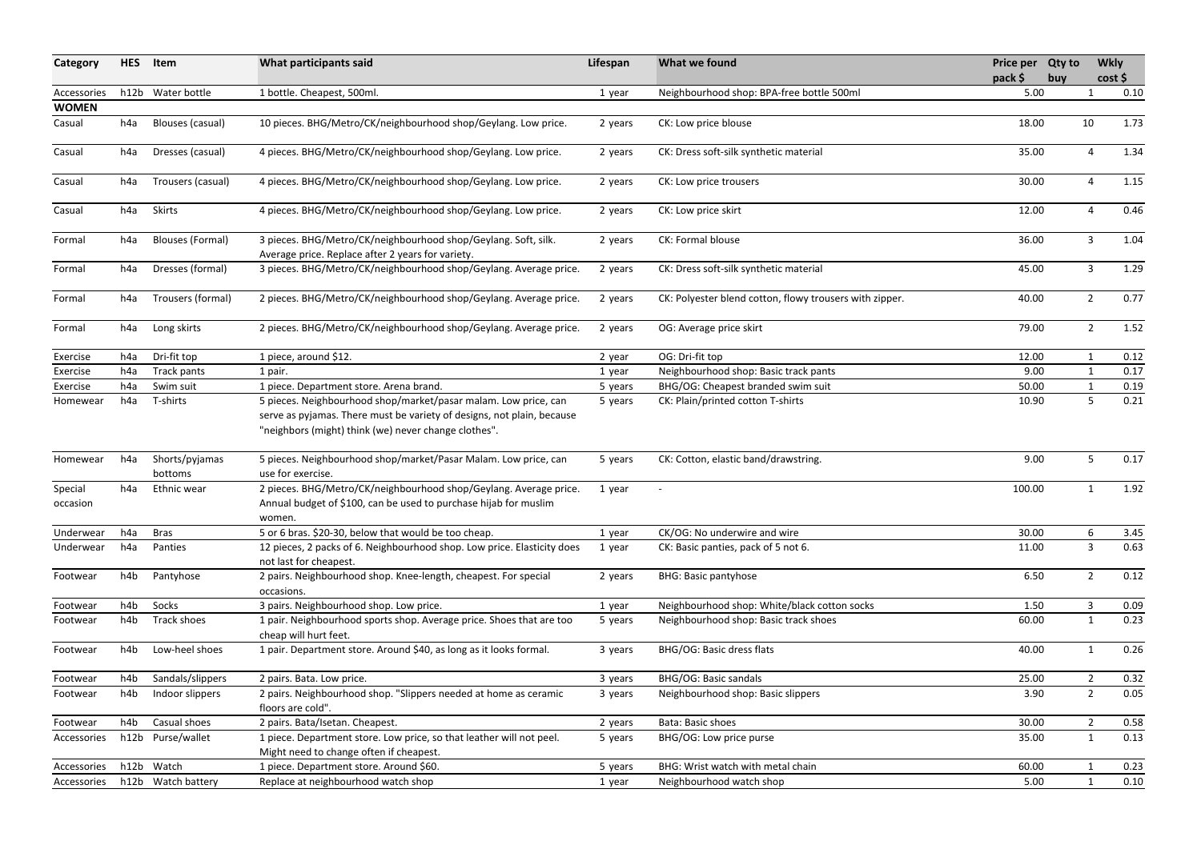| Neighbourhood shop: BPA-free bottle 500ml<br>h12b Water bottle<br>1 bottle. Cheapest, 500ml.<br>5.00<br>Accessories<br>$\mathbf 1$<br>1 year<br><b>WOMEN</b><br>10 pieces. BHG/Metro/CK/neighbourhood shop/Geylang. Low price.<br>10<br>CK: Low price blouse<br>18.00<br>h4a<br>Blouses (casual)<br>Casual<br>2 years<br>4 pieces. BHG/Metro/CK/neighbourhood shop/Geylang. Low price.<br>CK: Dress soft-silk synthetic material<br>35.00<br>Dresses (casual)<br>4<br>Casual<br>2 years<br>h4a<br>4 pieces. BHG/Metro/CK/neighbourhood shop/Geylang. Low price.<br>30.00<br>Trousers (casual)<br>CK: Low price trousers<br>4<br>Casual<br>h4a<br>2 years<br><b>Skirts</b><br>4 pieces. BHG/Metro/CK/neighbourhood shop/Geylang. Low price.<br>12.00<br>Casual<br>h4a<br>CK: Low price skirt<br>4<br>2 years<br><b>Blouses (Formal)</b><br>3 pieces. BHG/Metro/CK/neighbourhood shop/Geylang. Soft, silk.<br>CK: Formal blouse<br>3<br>36.00<br>Formal<br>2 years<br>h4a<br>Average price. Replace after 2 years for variety.<br>Dresses (formal)<br>CK: Dress soft-silk synthetic material<br>3 pieces. BHG/Metro/CK/neighbourhood shop/Geylang. Average price.<br>45.00<br>3<br>2 years<br>Formal<br>h4a<br>Trousers (formal)<br>$2^{\circ}$<br>2 pieces. BHG/Metro/CK/neighbourhood shop/Geylang. Average price.<br>CK: Polyester blend cotton, flowy trousers with zipper.<br>40.00<br>2 years<br>Formal<br>h4a<br>$2^{\circ}$<br>2 pieces. BHG/Metro/CK/neighbourhood shop/Geylang. Average price.<br>OG: Average price skirt<br>79.00<br>Long skirts<br>Formal<br>h4a<br>2 years<br>Dri-fit top<br>OG: Dri-fit top<br>12.00<br>h4a<br>1 piece, around \$12.<br>Exercise<br>1<br>2 year<br>Neighbourhood shop: Basic track pants<br>9.00<br>Exercise<br>Track pants<br>1 pair.<br>h4a<br>1 year<br>Swim suit<br>1 piece. Department store. Arena brand.<br>BHG/OG: Cheapest branded swim suit<br>50.00<br>Exercise<br>h4a<br>5 years<br>5<br>5 pieces. Neighbourhood shop/market/pasar malam. Low price, can<br>T-shirts<br>CK: Plain/printed cotton T-shirts<br>10.90<br>h4a<br>Homewear<br>5 years<br>serve as pyjamas. There must be variety of designs, not plain, because<br>"neighbors (might) think (we) never change clothes".<br>5 pieces. Neighbourhood shop/market/Pasar Malam. Low price, can<br>9.00<br>Shorts/pyjamas<br>CK: Cotton, elastic band/drawstring.<br>5<br>h4a<br>5 years<br>Homewear<br>use for exercise.<br>bottoms<br>Ethnic wear<br>2 pieces. BHG/Metro/CK/neighbourhood shop/Geylang. Average price.<br>100.00<br>Special<br>h4a<br>1 year<br>$\overline{\phantom{a}}$<br>Annual budget of \$100, can be used to purchase hijab for muslim<br>occasion<br>women.<br>5 or 6 bras. \$20-30, below that would be too cheap.<br>CK/OG: No underwire and wire<br>30.00<br>h4a<br><b>Bras</b><br>6<br>Underwear<br>1 year<br>12 pieces, 2 packs of 6. Neighbourhood shop. Low price. Elasticity does<br>3<br>h4a<br>Panties<br>CK: Basic panties, pack of 5 not 6.<br>11.00<br>Underwear<br>1 year<br>not last for cheapest.<br>Pantyhose<br><b>BHG: Basic pantyhose</b><br>$\overline{2}$<br>2 pairs. Neighbourhood shop. Knee-length, cheapest. For special<br>6.50<br>h4b<br>2 years<br>Footwear<br>occasions.<br>h4b<br>Socks<br>3<br>Neighbourhood shop: White/black cotton socks<br>1.50<br>3 pairs. Neighbourhood shop. Low price.<br>Footwear<br>1 year<br>Track shoes<br>1 pair. Neighbourhood sports shop. Average price. Shoes that are too<br>Neighbourhood shop: Basic track shoes<br>60.00<br>h4b<br>Footwear<br>5 years<br>1<br>cheap will hurt feet.<br>Low-heel shoes<br>1 pair. Department store. Around \$40, as long as it looks formal.<br>BHG/OG: Basic dress flats<br>3 years<br>40.00<br>Footwear<br>h4b<br>1<br>Sandals/slippers<br><b>BHG/OG: Basic sandals</b><br>$2^{\circ}$<br>2 pairs. Bata. Low price.<br>25.00<br>Footwear<br>h4b<br>3 years<br>2 pairs. Neighbourhood shop. "Slippers needed at home as ceramic<br>Neighbourhood shop: Basic slippers<br>$\overline{2}$<br>h4b<br>Indoor slippers<br>3.90<br>Footwear<br>3 years<br>floors are cold".<br>Casual shoes<br>2 pairs. Bata/Isetan. Cheapest.<br>Bata: Basic shoes<br>30.00<br>$\overline{2}$<br>h4b<br>Footwear<br>2 years<br>h12b Purse/wallet<br>1 piece. Department store. Low price, so that leather will not peel.<br>BHG/OG: Low price purse<br>35.00<br>$\mathbf{1}$<br>5 years<br>Accessories<br>Might need to change often if cheapest.<br>h12b Watch<br>BHG: Wrist watch with metal chain<br>1 piece. Department store. Around \$60.<br>5 years<br>60.00<br>Accessories<br>h12b Watch battery<br>Replace at neighbourhood watch shop<br>5.00<br>Neighbourhood watch shop<br>1<br>Accessories<br>1 year | Category | <b>HES</b> | Item | What participants said | Lifespan | What we found | Price per Qty to<br>pack \$ | buy | <b>Wkly</b> | cost |
|-------------------------------------------------------------------------------------------------------------------------------------------------------------------------------------------------------------------------------------------------------------------------------------------------------------------------------------------------------------------------------------------------------------------------------------------------------------------------------------------------------------------------------------------------------------------------------------------------------------------------------------------------------------------------------------------------------------------------------------------------------------------------------------------------------------------------------------------------------------------------------------------------------------------------------------------------------------------------------------------------------------------------------------------------------------------------------------------------------------------------------------------------------------------------------------------------------------------------------------------------------------------------------------------------------------------------------------------------------------------------------------------------------------------------------------------------------------------------------------------------------------------------------------------------------------------------------------------------------------------------------------------------------------------------------------------------------------------------------------------------------------------------------------------------------------------------------------------------------------------------------------------------------------------------------------------------------------------------------------------------------------------------------------------------------------------------------------------------------------------------------------------------------------------------------------------------------------------------------------------------------------------------------------------------------------------------------------------------------------------------------------------------------------------------------------------------------------------------------------------------------------------------------------------------------------------------------------------------------------------------------------------------------------------------------------------------------------------------------------------------------------------------------------------------------------------------------------------------------------------------------------------------------------------------------------------------------------------------------------------------------------------------------------------------------------------------------------------------------------------------------------------------------------------------------------------------------------------------------------------------------------------------------------------------------------------------------------------------------------------------------------------------------------------------------------------------------------------------------------------------------------------------------------------------------------------------------------------------------------------------------------------------------------------------------------------------------------------------------------------------------------------------------------------------------------------------------------------------------------------------------------------------------------------------------------------------------------------------------------------------------------------------------------------------------------------------------------------------------------------------------------------------------------------------------------------------------------------------------------------------------------------------------------------------------------------------------------------------------------------------------------------------------------------------------------------------------------------------------------------------------------------------------------------------------------------------------------------------------------------------------------------------------------------------------------------------------------------------------------------|----------|------------|------|------------------------|----------|---------------|-----------------------------|-----|-------------|------|
|                                                                                                                                                                                                                                                                                                                                                                                                                                                                                                                                                                                                                                                                                                                                                                                                                                                                                                                                                                                                                                                                                                                                                                                                                                                                                                                                                                                                                                                                                                                                                                                                                                                                                                                                                                                                                                                                                                                                                                                                                                                                                                                                                                                                                                                                                                                                                                                                                                                                                                                                                                                                                                                                                                                                                                                                                                                                                                                                                                                                                                                                                                                                                                                                                                                                                                                                                                                                                                                                                                                                                                                                                                                                                                                                                                                                                                                                                                                                                                                                                                                                                                                                                                                                                                                                                                                                                                                                                                                                                                                                                                                                                                                                                                                                           |          |            |      |                        |          |               |                             |     |             | 0.10 |
|                                                                                                                                                                                                                                                                                                                                                                                                                                                                                                                                                                                                                                                                                                                                                                                                                                                                                                                                                                                                                                                                                                                                                                                                                                                                                                                                                                                                                                                                                                                                                                                                                                                                                                                                                                                                                                                                                                                                                                                                                                                                                                                                                                                                                                                                                                                                                                                                                                                                                                                                                                                                                                                                                                                                                                                                                                                                                                                                                                                                                                                                                                                                                                                                                                                                                                                                                                                                                                                                                                                                                                                                                                                                                                                                                                                                                                                                                                                                                                                                                                                                                                                                                                                                                                                                                                                                                                                                                                                                                                                                                                                                                                                                                                                                           |          |            |      |                        |          |               |                             |     |             |      |
|                                                                                                                                                                                                                                                                                                                                                                                                                                                                                                                                                                                                                                                                                                                                                                                                                                                                                                                                                                                                                                                                                                                                                                                                                                                                                                                                                                                                                                                                                                                                                                                                                                                                                                                                                                                                                                                                                                                                                                                                                                                                                                                                                                                                                                                                                                                                                                                                                                                                                                                                                                                                                                                                                                                                                                                                                                                                                                                                                                                                                                                                                                                                                                                                                                                                                                                                                                                                                                                                                                                                                                                                                                                                                                                                                                                                                                                                                                                                                                                                                                                                                                                                                                                                                                                                                                                                                                                                                                                                                                                                                                                                                                                                                                                                           |          |            |      |                        |          |               |                             |     |             | 1.73 |
|                                                                                                                                                                                                                                                                                                                                                                                                                                                                                                                                                                                                                                                                                                                                                                                                                                                                                                                                                                                                                                                                                                                                                                                                                                                                                                                                                                                                                                                                                                                                                                                                                                                                                                                                                                                                                                                                                                                                                                                                                                                                                                                                                                                                                                                                                                                                                                                                                                                                                                                                                                                                                                                                                                                                                                                                                                                                                                                                                                                                                                                                                                                                                                                                                                                                                                                                                                                                                                                                                                                                                                                                                                                                                                                                                                                                                                                                                                                                                                                                                                                                                                                                                                                                                                                                                                                                                                                                                                                                                                                                                                                                                                                                                                                                           |          |            |      |                        |          |               |                             |     |             | 1.34 |
|                                                                                                                                                                                                                                                                                                                                                                                                                                                                                                                                                                                                                                                                                                                                                                                                                                                                                                                                                                                                                                                                                                                                                                                                                                                                                                                                                                                                                                                                                                                                                                                                                                                                                                                                                                                                                                                                                                                                                                                                                                                                                                                                                                                                                                                                                                                                                                                                                                                                                                                                                                                                                                                                                                                                                                                                                                                                                                                                                                                                                                                                                                                                                                                                                                                                                                                                                                                                                                                                                                                                                                                                                                                                                                                                                                                                                                                                                                                                                                                                                                                                                                                                                                                                                                                                                                                                                                                                                                                                                                                                                                                                                                                                                                                                           |          |            |      |                        |          |               |                             |     |             | 1.15 |
|                                                                                                                                                                                                                                                                                                                                                                                                                                                                                                                                                                                                                                                                                                                                                                                                                                                                                                                                                                                                                                                                                                                                                                                                                                                                                                                                                                                                                                                                                                                                                                                                                                                                                                                                                                                                                                                                                                                                                                                                                                                                                                                                                                                                                                                                                                                                                                                                                                                                                                                                                                                                                                                                                                                                                                                                                                                                                                                                                                                                                                                                                                                                                                                                                                                                                                                                                                                                                                                                                                                                                                                                                                                                                                                                                                                                                                                                                                                                                                                                                                                                                                                                                                                                                                                                                                                                                                                                                                                                                                                                                                                                                                                                                                                                           |          |            |      |                        |          |               |                             |     |             | 0.46 |
|                                                                                                                                                                                                                                                                                                                                                                                                                                                                                                                                                                                                                                                                                                                                                                                                                                                                                                                                                                                                                                                                                                                                                                                                                                                                                                                                                                                                                                                                                                                                                                                                                                                                                                                                                                                                                                                                                                                                                                                                                                                                                                                                                                                                                                                                                                                                                                                                                                                                                                                                                                                                                                                                                                                                                                                                                                                                                                                                                                                                                                                                                                                                                                                                                                                                                                                                                                                                                                                                                                                                                                                                                                                                                                                                                                                                                                                                                                                                                                                                                                                                                                                                                                                                                                                                                                                                                                                                                                                                                                                                                                                                                                                                                                                                           |          |            |      |                        |          |               |                             |     |             | 1.04 |
|                                                                                                                                                                                                                                                                                                                                                                                                                                                                                                                                                                                                                                                                                                                                                                                                                                                                                                                                                                                                                                                                                                                                                                                                                                                                                                                                                                                                                                                                                                                                                                                                                                                                                                                                                                                                                                                                                                                                                                                                                                                                                                                                                                                                                                                                                                                                                                                                                                                                                                                                                                                                                                                                                                                                                                                                                                                                                                                                                                                                                                                                                                                                                                                                                                                                                                                                                                                                                                                                                                                                                                                                                                                                                                                                                                                                                                                                                                                                                                                                                                                                                                                                                                                                                                                                                                                                                                                                                                                                                                                                                                                                                                                                                                                                           |          |            |      |                        |          |               |                             |     |             | 1.29 |
|                                                                                                                                                                                                                                                                                                                                                                                                                                                                                                                                                                                                                                                                                                                                                                                                                                                                                                                                                                                                                                                                                                                                                                                                                                                                                                                                                                                                                                                                                                                                                                                                                                                                                                                                                                                                                                                                                                                                                                                                                                                                                                                                                                                                                                                                                                                                                                                                                                                                                                                                                                                                                                                                                                                                                                                                                                                                                                                                                                                                                                                                                                                                                                                                                                                                                                                                                                                                                                                                                                                                                                                                                                                                                                                                                                                                                                                                                                                                                                                                                                                                                                                                                                                                                                                                                                                                                                                                                                                                                                                                                                                                                                                                                                                                           |          |            |      |                        |          |               |                             |     |             | 0.77 |
|                                                                                                                                                                                                                                                                                                                                                                                                                                                                                                                                                                                                                                                                                                                                                                                                                                                                                                                                                                                                                                                                                                                                                                                                                                                                                                                                                                                                                                                                                                                                                                                                                                                                                                                                                                                                                                                                                                                                                                                                                                                                                                                                                                                                                                                                                                                                                                                                                                                                                                                                                                                                                                                                                                                                                                                                                                                                                                                                                                                                                                                                                                                                                                                                                                                                                                                                                                                                                                                                                                                                                                                                                                                                                                                                                                                                                                                                                                                                                                                                                                                                                                                                                                                                                                                                                                                                                                                                                                                                                                                                                                                                                                                                                                                                           |          |            |      |                        |          |               |                             |     |             | 1.52 |
|                                                                                                                                                                                                                                                                                                                                                                                                                                                                                                                                                                                                                                                                                                                                                                                                                                                                                                                                                                                                                                                                                                                                                                                                                                                                                                                                                                                                                                                                                                                                                                                                                                                                                                                                                                                                                                                                                                                                                                                                                                                                                                                                                                                                                                                                                                                                                                                                                                                                                                                                                                                                                                                                                                                                                                                                                                                                                                                                                                                                                                                                                                                                                                                                                                                                                                                                                                                                                                                                                                                                                                                                                                                                                                                                                                                                                                                                                                                                                                                                                                                                                                                                                                                                                                                                                                                                                                                                                                                                                                                                                                                                                                                                                                                                           |          |            |      |                        |          |               |                             |     |             | 0.12 |
|                                                                                                                                                                                                                                                                                                                                                                                                                                                                                                                                                                                                                                                                                                                                                                                                                                                                                                                                                                                                                                                                                                                                                                                                                                                                                                                                                                                                                                                                                                                                                                                                                                                                                                                                                                                                                                                                                                                                                                                                                                                                                                                                                                                                                                                                                                                                                                                                                                                                                                                                                                                                                                                                                                                                                                                                                                                                                                                                                                                                                                                                                                                                                                                                                                                                                                                                                                                                                                                                                                                                                                                                                                                                                                                                                                                                                                                                                                                                                                                                                                                                                                                                                                                                                                                                                                                                                                                                                                                                                                                                                                                                                                                                                                                                           |          |            |      |                        |          |               |                             |     |             | 0.17 |
|                                                                                                                                                                                                                                                                                                                                                                                                                                                                                                                                                                                                                                                                                                                                                                                                                                                                                                                                                                                                                                                                                                                                                                                                                                                                                                                                                                                                                                                                                                                                                                                                                                                                                                                                                                                                                                                                                                                                                                                                                                                                                                                                                                                                                                                                                                                                                                                                                                                                                                                                                                                                                                                                                                                                                                                                                                                                                                                                                                                                                                                                                                                                                                                                                                                                                                                                                                                                                                                                                                                                                                                                                                                                                                                                                                                                                                                                                                                                                                                                                                                                                                                                                                                                                                                                                                                                                                                                                                                                                                                                                                                                                                                                                                                                           |          |            |      |                        |          |               |                             |     |             | 0.19 |
|                                                                                                                                                                                                                                                                                                                                                                                                                                                                                                                                                                                                                                                                                                                                                                                                                                                                                                                                                                                                                                                                                                                                                                                                                                                                                                                                                                                                                                                                                                                                                                                                                                                                                                                                                                                                                                                                                                                                                                                                                                                                                                                                                                                                                                                                                                                                                                                                                                                                                                                                                                                                                                                                                                                                                                                                                                                                                                                                                                                                                                                                                                                                                                                                                                                                                                                                                                                                                                                                                                                                                                                                                                                                                                                                                                                                                                                                                                                                                                                                                                                                                                                                                                                                                                                                                                                                                                                                                                                                                                                                                                                                                                                                                                                                           |          |            |      |                        |          |               |                             |     |             | 0.21 |
|                                                                                                                                                                                                                                                                                                                                                                                                                                                                                                                                                                                                                                                                                                                                                                                                                                                                                                                                                                                                                                                                                                                                                                                                                                                                                                                                                                                                                                                                                                                                                                                                                                                                                                                                                                                                                                                                                                                                                                                                                                                                                                                                                                                                                                                                                                                                                                                                                                                                                                                                                                                                                                                                                                                                                                                                                                                                                                                                                                                                                                                                                                                                                                                                                                                                                                                                                                                                                                                                                                                                                                                                                                                                                                                                                                                                                                                                                                                                                                                                                                                                                                                                                                                                                                                                                                                                                                                                                                                                                                                                                                                                                                                                                                                                           |          |            |      |                        |          |               |                             |     |             | 0.17 |
|                                                                                                                                                                                                                                                                                                                                                                                                                                                                                                                                                                                                                                                                                                                                                                                                                                                                                                                                                                                                                                                                                                                                                                                                                                                                                                                                                                                                                                                                                                                                                                                                                                                                                                                                                                                                                                                                                                                                                                                                                                                                                                                                                                                                                                                                                                                                                                                                                                                                                                                                                                                                                                                                                                                                                                                                                                                                                                                                                                                                                                                                                                                                                                                                                                                                                                                                                                                                                                                                                                                                                                                                                                                                                                                                                                                                                                                                                                                                                                                                                                                                                                                                                                                                                                                                                                                                                                                                                                                                                                                                                                                                                                                                                                                                           |          |            |      |                        |          |               |                             |     |             | 1.92 |
|                                                                                                                                                                                                                                                                                                                                                                                                                                                                                                                                                                                                                                                                                                                                                                                                                                                                                                                                                                                                                                                                                                                                                                                                                                                                                                                                                                                                                                                                                                                                                                                                                                                                                                                                                                                                                                                                                                                                                                                                                                                                                                                                                                                                                                                                                                                                                                                                                                                                                                                                                                                                                                                                                                                                                                                                                                                                                                                                                                                                                                                                                                                                                                                                                                                                                                                                                                                                                                                                                                                                                                                                                                                                                                                                                                                                                                                                                                                                                                                                                                                                                                                                                                                                                                                                                                                                                                                                                                                                                                                                                                                                                                                                                                                                           |          |            |      |                        |          |               |                             |     |             | 3.45 |
|                                                                                                                                                                                                                                                                                                                                                                                                                                                                                                                                                                                                                                                                                                                                                                                                                                                                                                                                                                                                                                                                                                                                                                                                                                                                                                                                                                                                                                                                                                                                                                                                                                                                                                                                                                                                                                                                                                                                                                                                                                                                                                                                                                                                                                                                                                                                                                                                                                                                                                                                                                                                                                                                                                                                                                                                                                                                                                                                                                                                                                                                                                                                                                                                                                                                                                                                                                                                                                                                                                                                                                                                                                                                                                                                                                                                                                                                                                                                                                                                                                                                                                                                                                                                                                                                                                                                                                                                                                                                                                                                                                                                                                                                                                                                           |          |            |      |                        |          |               |                             |     |             | 0.63 |
|                                                                                                                                                                                                                                                                                                                                                                                                                                                                                                                                                                                                                                                                                                                                                                                                                                                                                                                                                                                                                                                                                                                                                                                                                                                                                                                                                                                                                                                                                                                                                                                                                                                                                                                                                                                                                                                                                                                                                                                                                                                                                                                                                                                                                                                                                                                                                                                                                                                                                                                                                                                                                                                                                                                                                                                                                                                                                                                                                                                                                                                                                                                                                                                                                                                                                                                                                                                                                                                                                                                                                                                                                                                                                                                                                                                                                                                                                                                                                                                                                                                                                                                                                                                                                                                                                                                                                                                                                                                                                                                                                                                                                                                                                                                                           |          |            |      |                        |          |               |                             |     |             | 0.12 |
|                                                                                                                                                                                                                                                                                                                                                                                                                                                                                                                                                                                                                                                                                                                                                                                                                                                                                                                                                                                                                                                                                                                                                                                                                                                                                                                                                                                                                                                                                                                                                                                                                                                                                                                                                                                                                                                                                                                                                                                                                                                                                                                                                                                                                                                                                                                                                                                                                                                                                                                                                                                                                                                                                                                                                                                                                                                                                                                                                                                                                                                                                                                                                                                                                                                                                                                                                                                                                                                                                                                                                                                                                                                                                                                                                                                                                                                                                                                                                                                                                                                                                                                                                                                                                                                                                                                                                                                                                                                                                                                                                                                                                                                                                                                                           |          |            |      |                        |          |               |                             |     |             | 0.09 |
|                                                                                                                                                                                                                                                                                                                                                                                                                                                                                                                                                                                                                                                                                                                                                                                                                                                                                                                                                                                                                                                                                                                                                                                                                                                                                                                                                                                                                                                                                                                                                                                                                                                                                                                                                                                                                                                                                                                                                                                                                                                                                                                                                                                                                                                                                                                                                                                                                                                                                                                                                                                                                                                                                                                                                                                                                                                                                                                                                                                                                                                                                                                                                                                                                                                                                                                                                                                                                                                                                                                                                                                                                                                                                                                                                                                                                                                                                                                                                                                                                                                                                                                                                                                                                                                                                                                                                                                                                                                                                                                                                                                                                                                                                                                                           |          |            |      |                        |          |               |                             |     |             | 0.23 |
|                                                                                                                                                                                                                                                                                                                                                                                                                                                                                                                                                                                                                                                                                                                                                                                                                                                                                                                                                                                                                                                                                                                                                                                                                                                                                                                                                                                                                                                                                                                                                                                                                                                                                                                                                                                                                                                                                                                                                                                                                                                                                                                                                                                                                                                                                                                                                                                                                                                                                                                                                                                                                                                                                                                                                                                                                                                                                                                                                                                                                                                                                                                                                                                                                                                                                                                                                                                                                                                                                                                                                                                                                                                                                                                                                                                                                                                                                                                                                                                                                                                                                                                                                                                                                                                                                                                                                                                                                                                                                                                                                                                                                                                                                                                                           |          |            |      |                        |          |               |                             |     |             | 0.26 |
|                                                                                                                                                                                                                                                                                                                                                                                                                                                                                                                                                                                                                                                                                                                                                                                                                                                                                                                                                                                                                                                                                                                                                                                                                                                                                                                                                                                                                                                                                                                                                                                                                                                                                                                                                                                                                                                                                                                                                                                                                                                                                                                                                                                                                                                                                                                                                                                                                                                                                                                                                                                                                                                                                                                                                                                                                                                                                                                                                                                                                                                                                                                                                                                                                                                                                                                                                                                                                                                                                                                                                                                                                                                                                                                                                                                                                                                                                                                                                                                                                                                                                                                                                                                                                                                                                                                                                                                                                                                                                                                                                                                                                                                                                                                                           |          |            |      |                        |          |               |                             |     |             | 0.32 |
|                                                                                                                                                                                                                                                                                                                                                                                                                                                                                                                                                                                                                                                                                                                                                                                                                                                                                                                                                                                                                                                                                                                                                                                                                                                                                                                                                                                                                                                                                                                                                                                                                                                                                                                                                                                                                                                                                                                                                                                                                                                                                                                                                                                                                                                                                                                                                                                                                                                                                                                                                                                                                                                                                                                                                                                                                                                                                                                                                                                                                                                                                                                                                                                                                                                                                                                                                                                                                                                                                                                                                                                                                                                                                                                                                                                                                                                                                                                                                                                                                                                                                                                                                                                                                                                                                                                                                                                                                                                                                                                                                                                                                                                                                                                                           |          |            |      |                        |          |               |                             |     |             | 0.05 |
|                                                                                                                                                                                                                                                                                                                                                                                                                                                                                                                                                                                                                                                                                                                                                                                                                                                                                                                                                                                                                                                                                                                                                                                                                                                                                                                                                                                                                                                                                                                                                                                                                                                                                                                                                                                                                                                                                                                                                                                                                                                                                                                                                                                                                                                                                                                                                                                                                                                                                                                                                                                                                                                                                                                                                                                                                                                                                                                                                                                                                                                                                                                                                                                                                                                                                                                                                                                                                                                                                                                                                                                                                                                                                                                                                                                                                                                                                                                                                                                                                                                                                                                                                                                                                                                                                                                                                                                                                                                                                                                                                                                                                                                                                                                                           |          |            |      |                        |          |               |                             |     |             | 0.58 |
|                                                                                                                                                                                                                                                                                                                                                                                                                                                                                                                                                                                                                                                                                                                                                                                                                                                                                                                                                                                                                                                                                                                                                                                                                                                                                                                                                                                                                                                                                                                                                                                                                                                                                                                                                                                                                                                                                                                                                                                                                                                                                                                                                                                                                                                                                                                                                                                                                                                                                                                                                                                                                                                                                                                                                                                                                                                                                                                                                                                                                                                                                                                                                                                                                                                                                                                                                                                                                                                                                                                                                                                                                                                                                                                                                                                                                                                                                                                                                                                                                                                                                                                                                                                                                                                                                                                                                                                                                                                                                                                                                                                                                                                                                                                                           |          |            |      |                        |          |               |                             |     |             | 0.13 |
|                                                                                                                                                                                                                                                                                                                                                                                                                                                                                                                                                                                                                                                                                                                                                                                                                                                                                                                                                                                                                                                                                                                                                                                                                                                                                                                                                                                                                                                                                                                                                                                                                                                                                                                                                                                                                                                                                                                                                                                                                                                                                                                                                                                                                                                                                                                                                                                                                                                                                                                                                                                                                                                                                                                                                                                                                                                                                                                                                                                                                                                                                                                                                                                                                                                                                                                                                                                                                                                                                                                                                                                                                                                                                                                                                                                                                                                                                                                                                                                                                                                                                                                                                                                                                                                                                                                                                                                                                                                                                                                                                                                                                                                                                                                                           |          |            |      |                        |          |               |                             |     |             | 0.23 |
|                                                                                                                                                                                                                                                                                                                                                                                                                                                                                                                                                                                                                                                                                                                                                                                                                                                                                                                                                                                                                                                                                                                                                                                                                                                                                                                                                                                                                                                                                                                                                                                                                                                                                                                                                                                                                                                                                                                                                                                                                                                                                                                                                                                                                                                                                                                                                                                                                                                                                                                                                                                                                                                                                                                                                                                                                                                                                                                                                                                                                                                                                                                                                                                                                                                                                                                                                                                                                                                                                                                                                                                                                                                                                                                                                                                                                                                                                                                                                                                                                                                                                                                                                                                                                                                                                                                                                                                                                                                                                                                                                                                                                                                                                                                                           |          |            |      |                        |          |               |                             |     |             | 0.10 |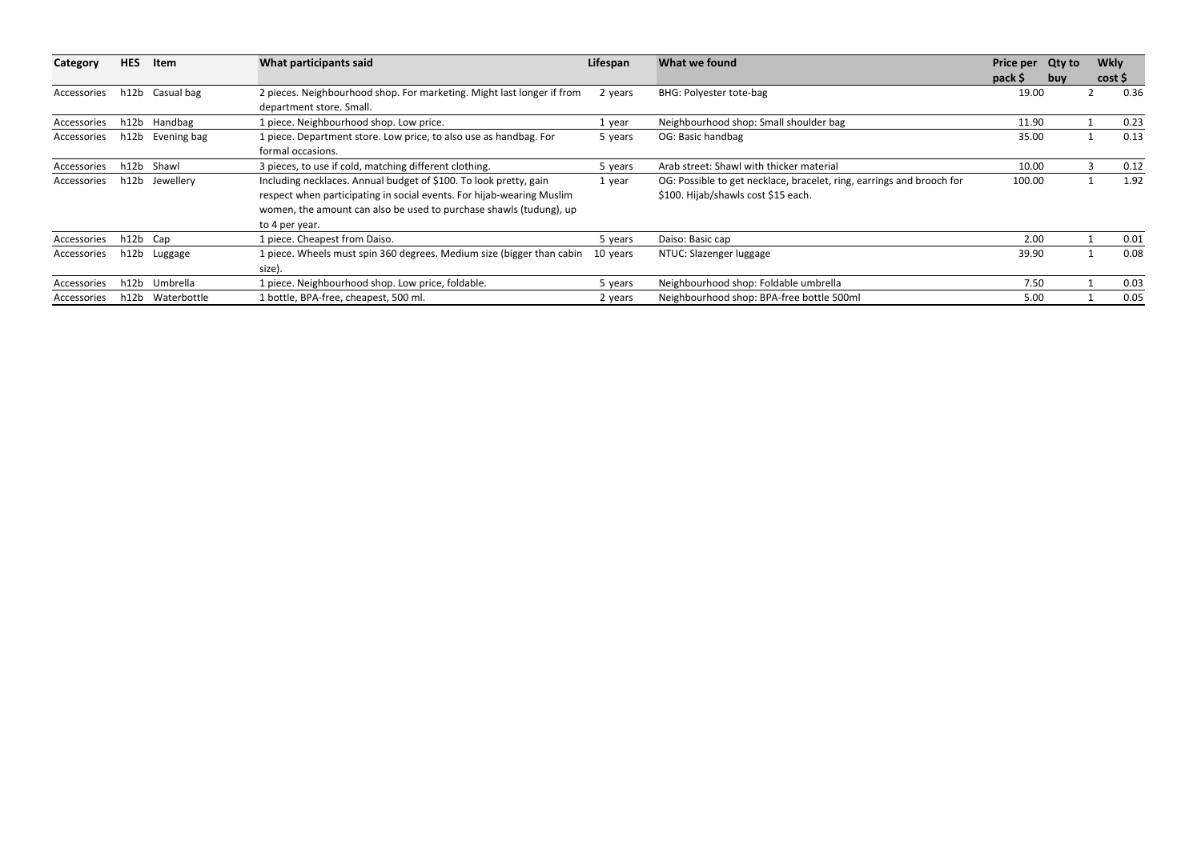| Category    | <b>HES</b> | Item        | What participants said                                                         | Lifespan | What we found                                                         | Price per | <b>Qty to</b> | <b>Wkly</b> |      |
|-------------|------------|-------------|--------------------------------------------------------------------------------|----------|-----------------------------------------------------------------------|-----------|---------------|-------------|------|
|             |            |             |                                                                                |          |                                                                       | pack \$   | buy           | cost \$     |      |
| Accessories | h12b       | Casual bag  | 2 pieces. Neighbourhood shop. For marketing. Might last longer if from         | 2 years  | BHG: Polyester tote-bag                                               | 19.00     |               |             | 0.36 |
|             |            |             | department store. Small.                                                       |          |                                                                       |           |               |             |      |
| Accessories | h12b       | Handbag     | 1 piece. Neighbourhood shop. Low price.                                        | 1 year   | Neighbourhood shop: Small shoulder bag                                | 11.90     |               |             | 0.23 |
| Accessories | h12b       | Evening bag | 1 piece. Department store. Low price, to also use as handbag. For              | 5 years  | OG: Basic handbag                                                     | 35.00     |               |             | 0.13 |
|             |            |             | formal occasions.                                                              |          |                                                                       |           |               |             |      |
| Accessories | h12b       | Shawl       | 3 pieces, to use if cold, matching different clothing.                         | 5 years  | Arab street: Shawl with thicker material                              | 10.00     |               |             | 0.12 |
| Accessories | h12b       | Jewellery   | Including necklaces. Annual budget of \$100. To look pretty, gain              | 1 year   | OG: Possible to get necklace, bracelet, ring, earrings and brooch for | 100.00    |               |             | 1.92 |
|             |            |             | respect when participating in social events. For hijab-wearing Muslim          |          | \$100. Hijab/shawls cost \$15 each.                                   |           |               |             |      |
|             |            |             | women, the amount can also be used to purchase shawls (tudung), up             |          |                                                                       |           |               |             |      |
|             |            |             | to 4 per year.                                                                 |          |                                                                       |           |               |             |      |
| Accessories |            | h12b Cap    | 1 piece. Cheapest from Daiso.                                                  | 5 years  | Daiso: Basic cap                                                      | 2.00      |               |             | 0.01 |
| Accessories | h12b       | Luggage     | 1 piece. Wheels must spin 360 degrees. Medium size (bigger than cabin 10 years |          | NTUC: Slazenger luggage                                               | 39.90     |               |             | 0.08 |
|             |            |             | size).                                                                         |          |                                                                       |           |               |             |      |
| Accessories | h12b       | Umbrella    | 1 piece. Neighbourhood shop. Low price, foldable.                              | 5 years  | Neighbourhood shop: Foldable umbrella                                 | 7.50      |               |             | 0.03 |
| Accessories | h12b       | Waterbottle | 1 bottle, BPA-free, cheapest, 500 ml.                                          | 2 years  | Neighbourhood shop: BPA-free bottle 500ml                             | 5.00      |               |             | 0.05 |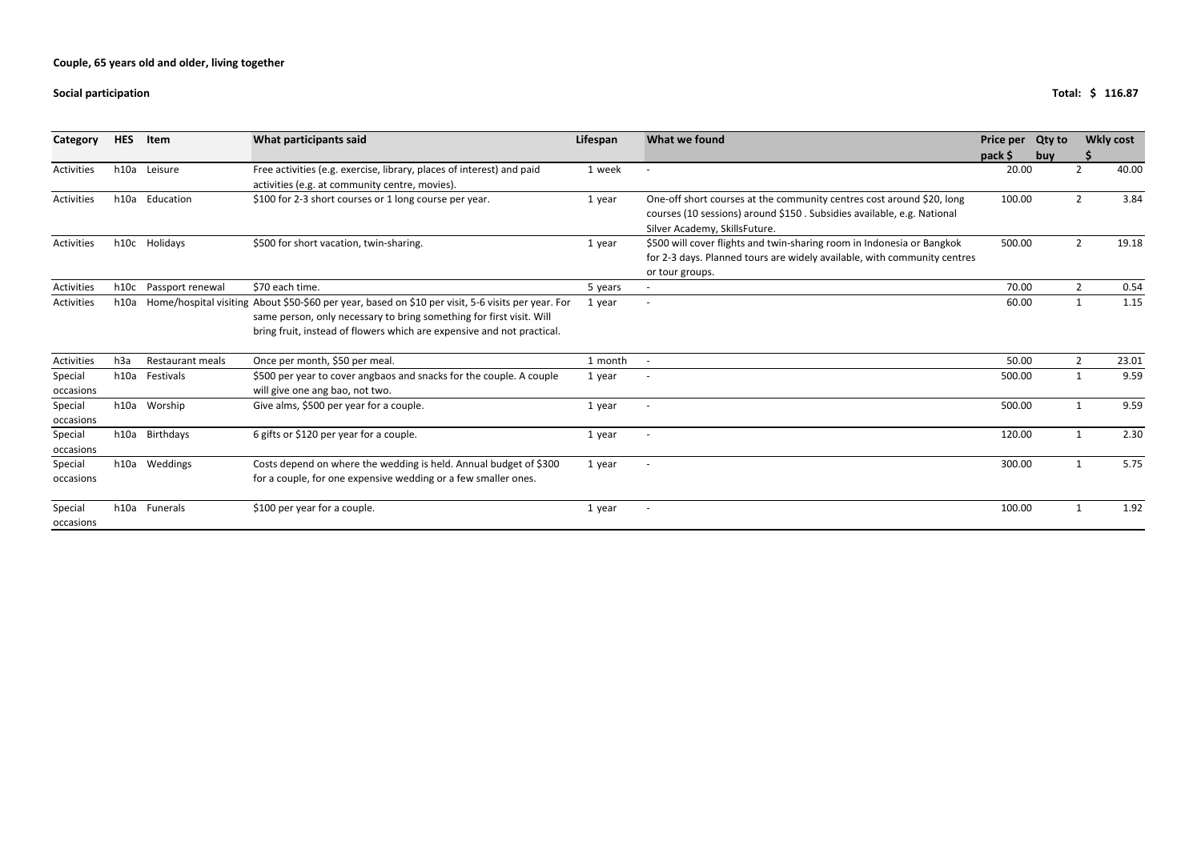#### **Social**

| Category             | <b>HES</b>       | Item                    | What participants said                                                                                                                                                                                                                               | Lifespan | What we found                                                                                                                                                                    | Price per | <b>Qty to</b> | <b>Wkly cost</b> |       |
|----------------------|------------------|-------------------------|------------------------------------------------------------------------------------------------------------------------------------------------------------------------------------------------------------------------------------------------------|----------|----------------------------------------------------------------------------------------------------------------------------------------------------------------------------------|-----------|---------------|------------------|-------|
|                      |                  |                         |                                                                                                                                                                                                                                                      |          |                                                                                                                                                                                  | $pack$ \$ | buy           |                  |       |
| Activities           |                  | h10a Leisure            | Free activities (e.g. exercise, library, places of interest) and paid<br>activities (e.g. at community centre, movies).                                                                                                                              | 1 week   |                                                                                                                                                                                  | 20.00     |               | 2                | 40.00 |
| Activities           |                  | h10a Education          | \$100 for 2-3 short courses or 1 long course per year.                                                                                                                                                                                               | 1 year   | One-off short courses at the community centres cost around \$20, long<br>courses (10 sessions) around \$150. Subsidies available, e.g. National<br>Silver Academy, SkillsFuture. | 100.00    |               | $\overline{2}$   | 3.84  |
| Activities           |                  | h10c Holidays           | \$500 for short vacation, twin-sharing.                                                                                                                                                                                                              | 1 year   | \$500 will cover flights and twin-sharing room in Indonesia or Bangkok<br>for 2-3 days. Planned tours are widely available, with community centres<br>or tour groups.            | 500.00    |               | $2^{\circ}$      | 19.18 |
| Activities           | h10c             | Passport renewal        | \$70 each time.                                                                                                                                                                                                                                      | 5 years  |                                                                                                                                                                                  | 70.00     |               | $2^{\circ}$      | 0.54  |
| Activities           | h10a             |                         | Home/hospital visiting About \$50-\$60 per year, based on \$10 per visit, 5-6 visits per year. For<br>same person, only necessary to bring something for first visit. Will<br>bring fruit, instead of flowers which are expensive and not practical. | 1 year   | $\overline{\phantom{a}}$                                                                                                                                                         | 60.00     |               | $\mathbf{1}$     | 1.15  |
| Activities           | h <sub>3</sub> a | <b>Restaurant meals</b> | Once per month, \$50 per meal.                                                                                                                                                                                                                       | 1 month  |                                                                                                                                                                                  | 50.00     |               | $2^{\circ}$      | 23.01 |
| Special<br>occasions | h10a             | Festivals               | \$500 per year to cover angbaos and snacks for the couple. A couple<br>will give one ang bao, not two.                                                                                                                                               | 1 year   |                                                                                                                                                                                  | 500.00    |               | 1                | 9.59  |
| Special<br>occasions |                  | h10a Worship            | Give alms, \$500 per year for a couple.                                                                                                                                                                                                              | 1 year   |                                                                                                                                                                                  | 500.00    |               | $\mathbf{1}$     | 9.59  |
| Special<br>occasions |                  | h10a Birthdays          | 6 gifts or \$120 per year for a couple.                                                                                                                                                                                                              | 1 year   | $\overline{\phantom{a}}$                                                                                                                                                         | 120.00    |               | 1                | 2.30  |
| Special<br>occasions | h10a             | Weddings                | Costs depend on where the wedding is held. Annual budget of \$300<br>for a couple, for one expensive wedding or a few smaller ones.                                                                                                                  | 1 year   |                                                                                                                                                                                  | 300.00    |               | $\mathbf{1}$     | 5.75  |
| Special<br>occasions |                  | h10a Funerals           | \$100 per year for a couple.                                                                                                                                                                                                                         | 1 year   | $\overline{\phantom{a}}$                                                                                                                                                         | 100.00    |               | 1                | 1.92  |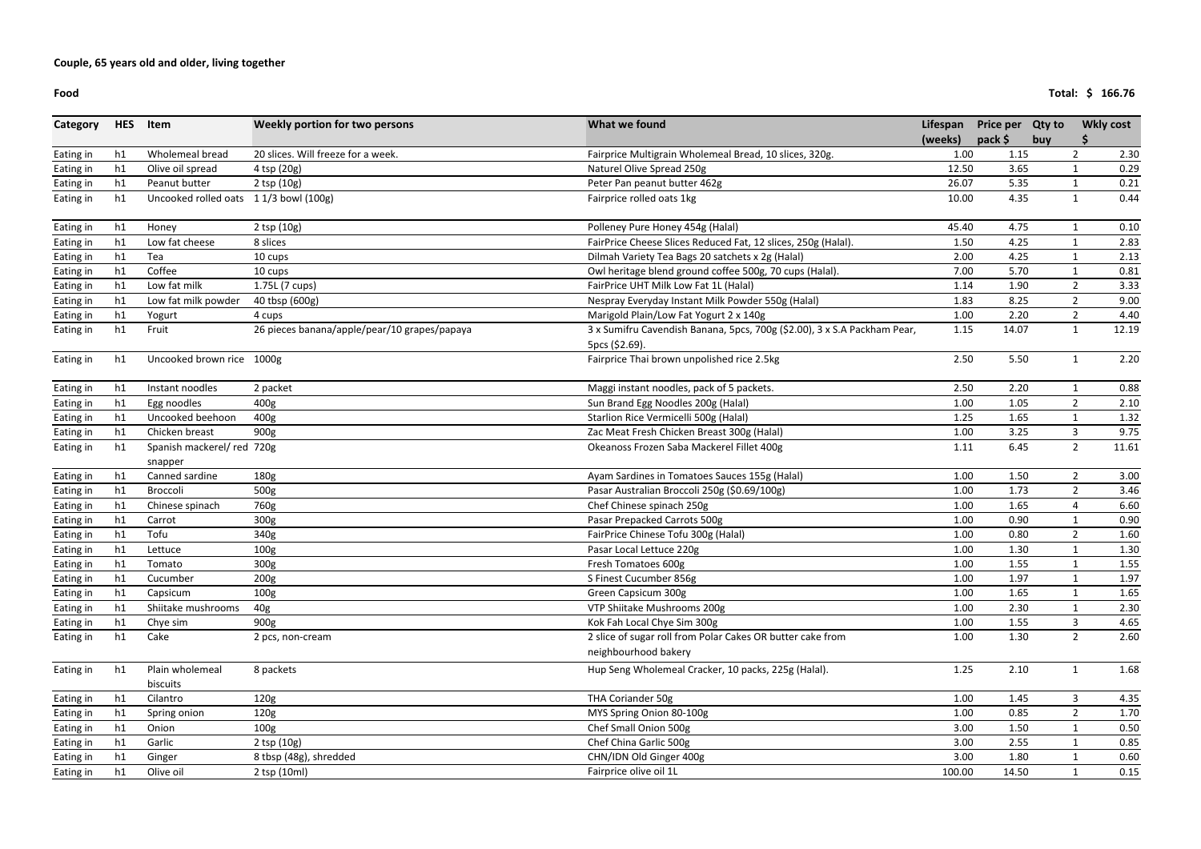**Food**

| Category  | <b>HES</b> | Item                                  | What we found<br>Weekly portion for two persons | Lifespan                                                                 | <b>Price per</b> | <b>Qty to</b> | <b>Wkly cost</b> |                |       |
|-----------|------------|---------------------------------------|-------------------------------------------------|--------------------------------------------------------------------------|------------------|---------------|------------------|----------------|-------|
|           |            |                                       |                                                 |                                                                          | (weeks)          | pack \$       | buy              |                |       |
| Eating in | h1         | Wholemeal bread                       | 20 slices. Will freeze for a week.              | Fairprice Multigrain Wholemeal Bread, 10 slices, 320g.                   | 1.00             | 1.15          |                  | $\overline{2}$ | 2.30  |
| Eating in | h1         | Olive oil spread                      | 4 tsp (20g)                                     | Naturel Olive Spread 250g                                                | 12.50            | 3.65          |                  |                | 0.29  |
| Eating in | h1         | Peanut butter                         | 2 tsp (10g)                                     | Peter Pan peanut butter 462g                                             | 26.07            | 5.35          |                  |                | 0.21  |
| Eating in | h1         | Uncooked rolled oats 11/3 bowl (100g) |                                                 | Fairprice rolled oats 1kg                                                | 10.00            | 4.35          |                  | $\mathbf{1}$   | 0.44  |
| Eating in | h1         | Honey                                 | 2 tsp (10g)                                     | Polleney Pure Honey 454g (Halal)                                         | 45.40            | 4.75          |                  |                | 0.10  |
| Eating in | h1         | Low fat cheese                        | 8 slices                                        | FairPrice Cheese Slices Reduced Fat, 12 slices, 250g (Halal).            | 1.50             | 4.25          |                  | 1              | 2.83  |
| Eating in | h1         | Tea                                   | 10 cups                                         | Dilmah Variety Tea Bags 20 satchets x 2g (Halal)                         | 2.00             | 4.25          |                  |                | 2.13  |
| Eating in | h1         | Coffee                                | 10 cups                                         | Owl heritage blend ground coffee 500g, 70 cups (Halal).                  | 7.00             | 5.70          |                  | $\mathbf{1}$   | 0.81  |
| Eating in | h1         | Low fat milk                          | 1.75L (7 cups)                                  | FairPrice UHT Milk Low Fat 1L (Halal)                                    | 1.14             | 1.90          |                  | $\overline{2}$ | 3.33  |
| Eating in | h1         | Low fat milk powder                   | 40 tbsp (600g)                                  | Nespray Everyday Instant Milk Powder 550g (Halal)                        | 1.83             | 8.25          |                  | $\overline{2}$ | 9.00  |
| Eating in | h1         | Yogurt                                | 4 cups                                          | Marigold Plain/Low Fat Yogurt 2 x 140g                                   | 1.00             | 2.20          |                  | $\overline{2}$ | 4.40  |
| Eating in | h1         | Fruit                                 | 26 pieces banana/apple/pear/10 grapes/papaya    | 3 x Sumifru Cavendish Banana, 5pcs, 700g (\$2.00), 3 x S.A Packham Pear, | 1.15             | 14.07         |                  | $\mathbf{1}$   | 12.19 |
|           |            |                                       |                                                 | 5pcs (\$2.69).                                                           |                  |               |                  |                |       |
| Eating in | h1         | Uncooked brown rice 1000g             |                                                 | Fairprice Thai brown unpolished rice 2.5kg                               | 2.50             | 5.50          |                  | $\mathbf{1}$   | 2.20  |
| Eating in | h1         | Instant noodles                       | 2 packet                                        | Maggi instant noodles, pack of 5 packets.                                | 2.50             | 2.20          |                  | $\mathbf{1}$   | 0.88  |
| Eating in | h1         | Egg noodles                           | 400g                                            | Sun Brand Egg Noodles 200g (Halal)                                       | 1.00             | 1.05          |                  | $\overline{2}$ | 2.10  |
| Eating in | h1         | Uncooked beehoon                      | 400g                                            | Starlion Rice Vermicelli 500g (Halal)                                    | 1.25             | 1.65          |                  | $\mathbf{1}$   | 1.32  |
| Eating in | h1         | Chicken breast                        | 900g                                            | Zac Meat Fresh Chicken Breast 300g (Halal)                               | 1.00             | 3.25          |                  | $\mathbf{3}$   | 9.75  |
| Eating in | h1         | Spanish mackerel/ red 720g<br>snapper |                                                 | Okeanoss Frozen Saba Mackerel Fillet 400g                                | 1.11             | 6.45          |                  | $2^{\circ}$    | 11.61 |
| Eating in | h1         | Canned sardine                        | 180g                                            | Ayam Sardines in Tomatoes Sauces 155g (Halal)                            | 1.00             | 1.50          |                  | $\overline{2}$ | 3.00  |
| Eating in | h1         | Broccoli                              | 500g                                            | Pasar Australian Broccoli 250g (\$0.69/100g)                             | 1.00             | 1.73          |                  | $\overline{2}$ | 3.46  |
| Eating in | h1         | Chinese spinach                       | 760g                                            | Chef Chinese spinach 250g                                                | 1.00             | 1.65          |                  | $\overline{4}$ | 6.60  |
| Eating in | h1         | Carrot                                | 300g                                            | Pasar Prepacked Carrots 500g                                             | 1.00             | 0.90          |                  | 1              | 0.90  |
| Eating in | h1         | Tofu                                  | 340g                                            | FairPrice Chinese Tofu 300g (Halal)                                      | 1.00             | 0.80          |                  | $\overline{2}$ | 1.60  |
| Eating in | h1         | Lettuce                               | 100 <sub>g</sub>                                | Pasar Local Lettuce 220g                                                 | 1.00             | 1.30          |                  | $\mathbf{1}$   | 1.30  |
| Eating in | h1         | Tomato                                | 300g                                            | Fresh Tomatoes 600g                                                      | 1.00             | 1.55          |                  | $\mathbf{1}$   | 1.55  |
| Eating in | h1         | Cucumber                              | 200g                                            | S Finest Cucumber 856g                                                   | 1.00             | 1.97          |                  | 1              | 1.97  |
| Eating in | h1         | Capsicum                              | 100g                                            | Green Capsicum 300g                                                      | 1.00             | 1.65          |                  | $\mathbf{1}$   | 1.65  |
| Eating in | h1         | Shiitake mushrooms                    | 40g                                             | VTP Shiitake Mushrooms 200g                                              | 1.00             | 2.30          |                  | 1              | 2.30  |
| Eating in | h1         | Chye sim                              | 900g                                            | Kok Fah Local Chye Sim 300g                                              | 1.00             | 1.55          |                  | $\mathbf{3}$   | 4.65  |
| Eating in | h1         | Cake                                  | 2 pcs, non-cream                                | 2 slice of sugar roll from Polar Cakes OR butter cake from               | 1.00             | 1.30          |                  | $2^{\circ}$    | 2.60  |
|           |            |                                       |                                                 | neighbourhood bakery                                                     |                  |               |                  |                |       |
| Eating in | h1         | Plain wholemeal                       | 8 packets                                       | Hup Seng Wholemeal Cracker, 10 packs, 225g (Halal).                      | 1.25             | 2.10          |                  | $\mathbf{1}$   | 1.68  |
|           |            | biscuits                              |                                                 |                                                                          |                  |               |                  |                |       |
| Eating in | h1         | Cilantro                              | 120g                                            | THA Coriander 50g                                                        | 1.00             | 1.45          |                  | 3              | 4.35  |
| Eating in | h1         | Spring onion                          | 120g                                            | MYS Spring Onion 80-100g                                                 | 1.00             | 0.85          |                  | $\overline{2}$ | 1.70  |
| Eating in | h1         | Onion                                 | 100 <sub>g</sub>                                | Chef Small Onion 500g                                                    | 3.00             | 1.50          |                  | $\mathbf{1}$   | 0.50  |
| Eating in | h1         | Garlic                                | 2 tsp (10g)                                     | Chef China Garlic 500g                                                   | 3.00             | 2.55          |                  | 1              | 0.85  |
| Eating in | h1         | Ginger                                | 8 tbsp (48g), shredded                          | CHN/IDN Old Ginger 400g                                                  | 3.00             | 1.80          |                  | 1              | 0.60  |
| Eating in | h1         | Olive oil                             | 2 tsp (10ml)                                    | Fairprice olive oil 1L                                                   | 100.00           | 14.50         |                  | $\mathbf{1}$   | 0.15  |

**Total: 166.76 \$**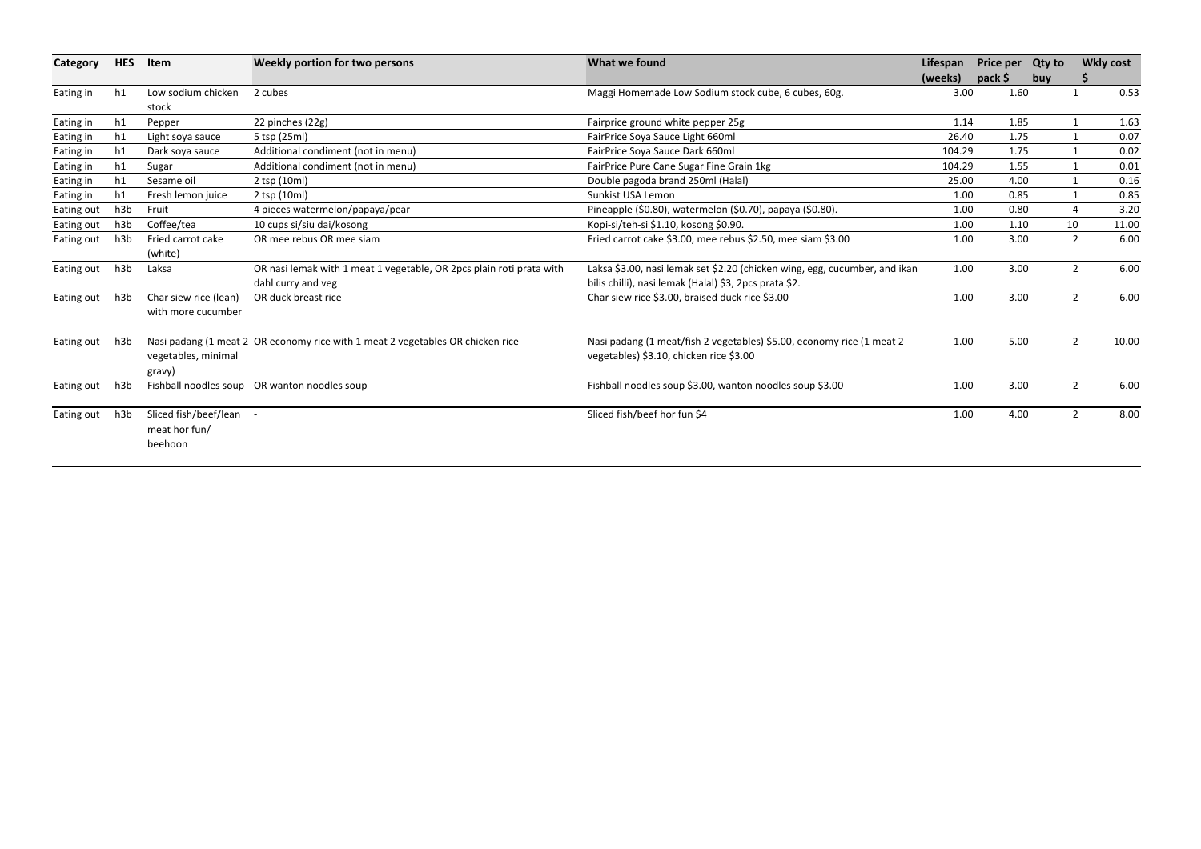| Category   | <b>HES</b> | Item                    | Weekly portion for two persons                                                 | What we found                                                              |         | <b>Price per</b> | <b>Qty to</b> | <b>Wkly cost</b>        |  |
|------------|------------|-------------------------|--------------------------------------------------------------------------------|----------------------------------------------------------------------------|---------|------------------|---------------|-------------------------|--|
|            |            |                         |                                                                                |                                                                            | (weeks) | pack \$          | buy           |                         |  |
| Eating in  | h1         | Low sodium chicken      | 2 cubes                                                                        | Maggi Homemade Low Sodium stock cube, 6 cubes, 60g.                        | 3.00    | 1.60             |               | 0.53<br>$\mathbf{1}$    |  |
|            |            | stock                   |                                                                                |                                                                            |         |                  |               |                         |  |
| Eating in  | h1         | Pepper                  | 22 pinches (22g)                                                               | Fairprice ground white pepper 25g                                          | 1.14    | 1.85             |               | 1.63<br>$\mathbf{1}$    |  |
| Eating in  | h1         | Light soya sauce        | 5 tsp (25ml)                                                                   | FairPrice Soya Sauce Light 660ml                                           | 26.40   | 1.75             |               | 0.07<br>1               |  |
| Eating in  | h1         | Dark soya sauce         | Additional condiment (not in menu)                                             | FairPrice Soya Sauce Dark 660ml                                            | 104.29  | 1.75             |               | 0.02<br>$\mathbf{1}$    |  |
| Eating in  | h1         | Sugar                   | Additional condiment (not in menu)                                             | FairPrice Pure Cane Sugar Fine Grain 1kg                                   | 104.29  | 1.55             |               | 0.01<br>$\mathbf{1}$    |  |
| Eating in  | h1         | Sesame oil              | 2 tsp (10ml)                                                                   | Double pagoda brand 250ml (Halal)                                          | 25.00   | 4.00             |               | 0.16<br>1               |  |
| Eating in  | h1         | Fresh lemon juice       | 2 tsp (10ml)                                                                   | Sunkist USA Lemon                                                          | 1.00    | 0.85             |               | 0.85<br>1               |  |
| Eating out | h3b        | Fruit                   | 4 pieces watermelon/papaya/pear                                                | Pineapple (\$0.80), watermelon (\$0.70), papaya (\$0.80).                  | 1.00    | 0.80             |               | 3.20<br>4               |  |
| Eating out | h3b        | Coffee/tea              | 10 cups si/siu dai/kosong                                                      | Kopi-si/teh-si \$1.10, kosong \$0.90.                                      | 1.00    | 1.10             | 10            | 11.00                   |  |
| Eating out | h3b        | Fried carrot cake       | OR mee rebus OR mee siam                                                       | Fried carrot cake \$3.00, mee rebus \$2.50, mee siam \$3.00                | 1.00    | 3.00             |               | $\overline{2}$<br>6.00  |  |
|            |            | (white)                 |                                                                                |                                                                            |         |                  |               |                         |  |
| Eating out | h3b        | Laksa                   | OR nasi lemak with 1 meat 1 vegetable, OR 2pcs plain roti prata with           | Laksa \$3.00, nasi lemak set \$2.20 (chicken wing, egg, cucumber, and ikan | 1.00    | 3.00             |               | $\overline{2}$<br>6.00  |  |
|            |            |                         | dahl curry and veg                                                             | bilis chilli), nasi lemak (Halal) \$3, 2pcs prata \$2.                     |         |                  |               |                         |  |
| Eating out | h3b        | Char siew rice (lean)   | OR duck breast rice                                                            | Char siew rice \$3.00, braised duck rice \$3.00                            | 1.00    | 3.00             |               | 6.00<br>$\overline{2}$  |  |
|            |            | with more cucumber      |                                                                                |                                                                            |         |                  |               |                         |  |
| Eating out | h3b        |                         | Nasi padang (1 meat 2 OR economy rice with 1 meat 2 vegetables OR chicken rice | Nasi padang (1 meat/fish 2 vegetables) \$5.00, economy rice (1 meat 2      | 1.00    | 5.00             |               | $\overline{2}$<br>10.00 |  |
|            |            | vegetables, minimal     |                                                                                | vegetables) \$3.10, chicken rice \$3.00                                    |         |                  |               |                         |  |
|            |            | gravy)                  |                                                                                |                                                                            |         |                  |               |                         |  |
| Eating out | h3b        |                         | Fishball noodles soup OR wanton noodles soup                                   | Fishball noodles soup \$3.00, wanton noodles soup \$3.00                   | 1.00    | 3.00             |               | $\overline{2}$<br>6.00  |  |
| Eating out | h3b        | Sliced fish/beef/lean - |                                                                                | Sliced fish/beef hor fun \$4                                               | 1.00    | 4.00             |               | $\overline{2}$<br>8.00  |  |
|            |            | meat hor fun/           |                                                                                |                                                                            |         |                  |               |                         |  |
|            |            | beehoon                 |                                                                                |                                                                            |         |                  |               |                         |  |
|            |            |                         |                                                                                |                                                                            |         |                  |               |                         |  |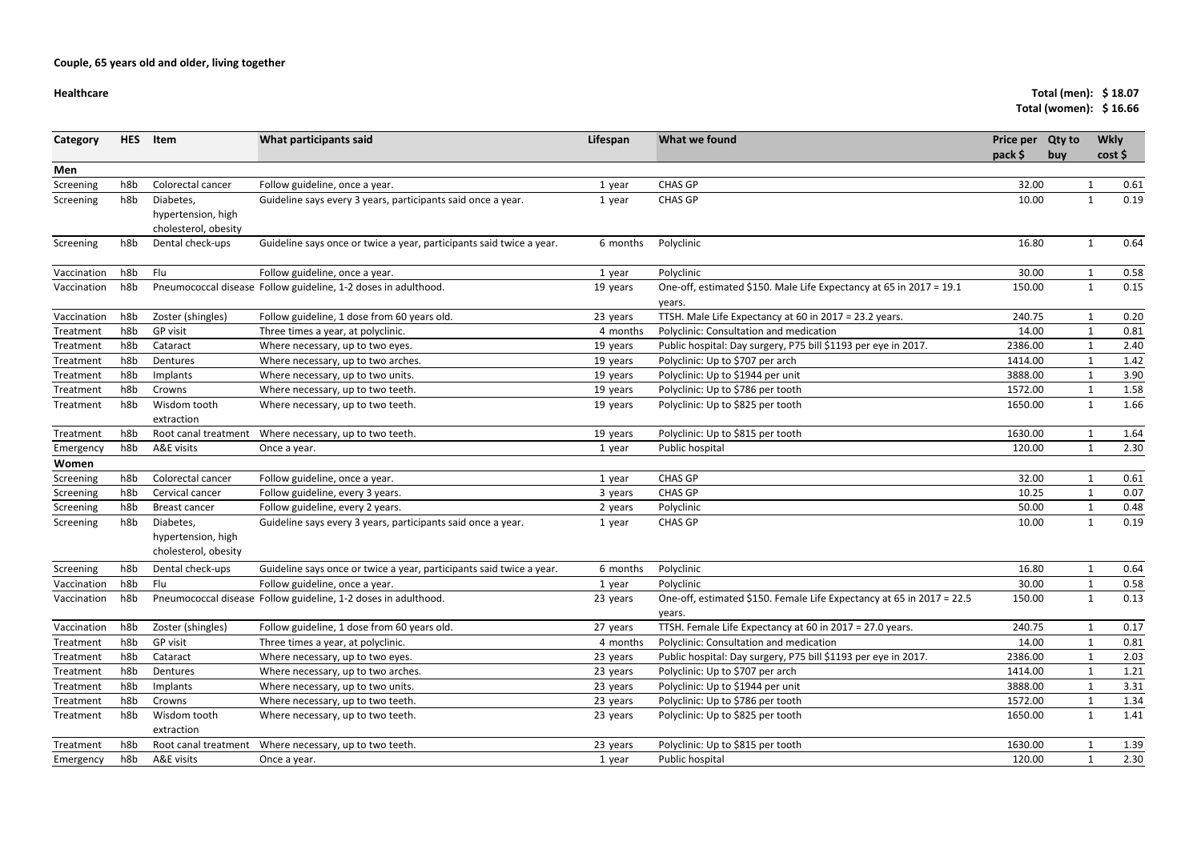#### **Healthcare**

# **Total (men): 18.07 \$**

|             |            |                                                         |                                                                      |          |                                                                                 | Total (women): \$16.66      |                      |              |      |  |
|-------------|------------|---------------------------------------------------------|----------------------------------------------------------------------|----------|---------------------------------------------------------------------------------|-----------------------------|----------------------|--------------|------|--|
| Category    | <b>HES</b> | Item                                                    | What participants said                                               | Lifespan | What we found                                                                   | <b>Price per</b><br>pack \$ | <b>Qty to</b><br>buy | <b>Wkly</b>  | cost |  |
| Men         |            |                                                         |                                                                      |          |                                                                                 |                             |                      |              |      |  |
| Screening   | h8b        | Colorectal cancer                                       | Follow guideline, once a year.                                       | 1 year   | <b>CHAS GP</b>                                                                  | 32.00                       |                      | 1            | 0.61 |  |
| Screening   | h8b        | Diabetes,<br>hypertension, high<br>cholesterol, obesity | Guideline says every 3 years, participants said once a year.         | 1 year   | <b>CHAS GP</b>                                                                  | 10.00                       |                      | $\mathbf{1}$ | 0.19 |  |
| Screening   | h8b        | Dental check-ups                                        | Guideline says once or twice a year, participants said twice a year. | 6 months | Polyclinic                                                                      | 16.80                       |                      | $\mathbf{1}$ | 0.64 |  |
| Vaccination | h8b        | Flu                                                     | Follow guideline, once a year.                                       | 1 year   | Polyclinic                                                                      | 30.00                       |                      | 1            | 0.58 |  |
| Vaccination | h8b        |                                                         | Pneumococcal disease Follow guideline, 1-2 doses in adulthood.       | 19 years | One-off, estimated \$150. Male Life Expectancy at 65 in 2017 = 19.1<br>years.   | 150.00                      |                      | $\mathbf{1}$ | 0.15 |  |
| Vaccination | h8b        | Zoster (shingles)                                       | Follow guideline, 1 dose from 60 years old.                          | 23 years | TTSH. Male Life Expectancy at 60 in 2017 = 23.2 years.                          | 240.75                      |                      |              | 0.20 |  |
| Treatment   | h8b        | GP visit                                                | Three times a year, at polyclinic.                                   | 4 months | Polyclinic: Consultation and medication                                         | 14.00                       |                      |              | 0.81 |  |
| Treatment   | h8b        | Cataract                                                | Where necessary, up to two eyes.                                     | 19 years | Public hospital: Day surgery, P75 bill \$1193 per eye in 2017.                  | 2386.00                     |                      |              | 2.40 |  |
| Treatment   | h8b        | Dentures                                                | Where necessary, up to two arches.                                   | 19 years | Polyclinic: Up to \$707 per arch                                                | 1414.00                     |                      |              | 1.42 |  |
| Treatment   | h8b        | Implants                                                | Where necessary, up to two units.                                    | 19 years | Polyclinic: Up to \$1944 per unit                                               | 3888.00                     |                      | 1            | 3.90 |  |
| Treatment   | h8b        | Crowns                                                  | Where necessary, up to two teeth.                                    | 19 years | Polyclinic: Up to \$786 per tooth                                               | 1572.00                     |                      | 1            | 1.58 |  |
| Treatment   | h8b        | Wisdom tooth<br>extraction                              | Where necessary, up to two teeth.                                    | 19 years | Polyclinic: Up to \$825 per tooth                                               | 1650.00                     |                      | 1            | 1.66 |  |
| Treatment   | h8b        |                                                         | Root canal treatment Where necessary, up to two teeth.               | 19 years | Polyclinic: Up to \$815 per tooth                                               | 1630.00                     |                      | $\mathbf 1$  | 1.64 |  |
| Emergency   | h8b        | A&E visits                                              | Once a year.                                                         | 1 year   | Public hospital                                                                 | 120.00                      |                      | 1            | 2.30 |  |
| Women       |            |                                                         |                                                                      |          |                                                                                 |                             |                      |              |      |  |
| Screening   | h8b        | Colorectal cancer                                       | Follow guideline, once a year.                                       | 1 year   | <b>CHAS GP</b>                                                                  | 32.00                       |                      |              | 0.61 |  |
| Screening   | h8b        | Cervical cancer                                         | Follow guideline, every 3 years.                                     | 3 years  | <b>CHAS GP</b>                                                                  | 10.25                       |                      | $\mathbf{1}$ | 0.07 |  |
| Screening   | h8b        | <b>Breast cancer</b>                                    | Follow guideline, every 2 years.                                     | 2 years  | Polyclinic                                                                      | 50.00                       |                      |              | 0.48 |  |
| Screening   | h8b        | Diabetes,<br>hypertension, high<br>cholesterol, obesity | Guideline says every 3 years, participants said once a year.         | 1 year   | <b>CHAS GP</b>                                                                  | 10.00                       |                      | $\mathbf{1}$ | 0.19 |  |
| Screening   | h8b        | Dental check-ups                                        | Guideline says once or twice a year, participants said twice a year. | 6 months | Polyclinic                                                                      | 16.80                       |                      |              | 0.64 |  |
| Vaccination | h8b        | Flu                                                     | Follow guideline, once a year.                                       | 1 year   | Polyclinic                                                                      | 30.00                       |                      |              | 0.58 |  |
| Vaccination | h8b        |                                                         | Pneumococcal disease Follow guideline, 1-2 doses in adulthood.       | 23 years | One-off, estimated \$150. Female Life Expectancy at 65 in 2017 = 22.5<br>years. | 150.00                      |                      |              | 0.13 |  |
| Vaccination | h8b        | Zoster (shingles)                                       | Follow guideline, 1 dose from 60 years old.                          | 27 years | TTSH. Female Life Expectancy at 60 in 2017 = 27.0 years.                        | 240.75                      |                      |              | 0.17 |  |
| Treatment   | h8b        | GP visit                                                | Three times a year, at polyclinic.                                   | 4 months | Polyclinic: Consultation and medication                                         | 14.00                       |                      |              | 0.81 |  |
| Treatment   | h8b        | Cataract                                                | Where necessary, up to two eyes.                                     | 23 years | Public hospital: Day surgery, P75 bill \$1193 per eye in 2017.                  | 2386.00                     |                      |              | 2.03 |  |
| Treatment   | h8b        | Dentures                                                | Where necessary, up to two arches.                                   | 23 years | Polyclinic: Up to \$707 per arch                                                | 1414.00                     |                      |              | 1.21 |  |
| Treatment   | h8b        | Implants                                                | Where necessary, up to two units.                                    | 23 years | Polyclinic: Up to \$1944 per unit                                               | 3888.00                     |                      |              | 3.31 |  |
| Treatment   | h8b        | Crowns                                                  | Where necessary, up to two teeth.                                    | 23 years | Polyclinic: Up to \$786 per tooth                                               | 1572.00                     |                      |              | 1.34 |  |
| Treatment   | h8b        | Wisdom tooth<br>extraction                              | Where necessary, up to two teeth.                                    | 23 years | Polyclinic: Up to \$825 per tooth                                               | 1650.00                     |                      | $\mathbf{1}$ | 1.41 |  |
| Treatment   | h8b        | Root canal treatment                                    | Where necessary, up to two teeth.                                    | 23 years | Polyclinic: Up to \$815 per tooth                                               | 1630.00                     |                      |              | 1.39 |  |
| Emergency   | h8b        | A&E visits                                              | Once a year.                                                         | 1 year   | Public hospital                                                                 | 120.00                      |                      |              | 2.30 |  |
|             |            |                                                         |                                                                      |          |                                                                                 |                             |                      |              |      |  |